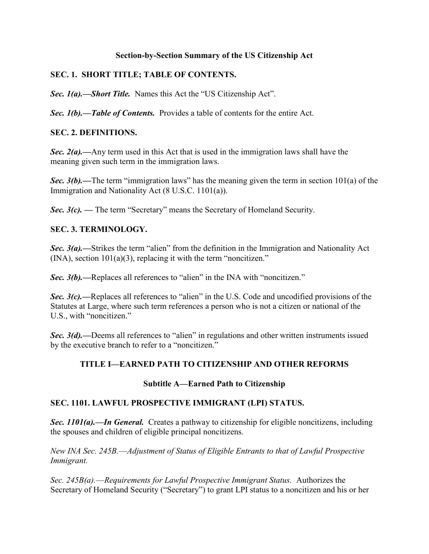#### **Section-by-Section Summary of the US Citizenship Act**

#### **SEC. 1. SHORT TITLE; TABLE OF CONTENTS.**

**Sec. 1(a).—Short Title.** Names this Act the "US Citizenship Act".

*Sec. 1(b).––Table of Contents.*Provides a table of contents for the entire Act.

#### **SEC. 2. DEFINITIONS.**

**Sec. 2(a).**—Any term used in this Act that is used in the immigration laws shall have the meaning given such term in the immigration laws.

*Sec.* 3(b).—The term "immigration laws" has the meaning given the term in section  $101(a)$  of the Immigration and Nationality Act (8 U.S.C. 1101(a)).

**Sec. 3(c). — The term "Secretary" means the Secretary of Homeland Security.** 

### **SEC. 3. TERMINOLOGY.**

**Sec. 3(a).**—Strikes the term "alien" from the definition in the Immigration and Nationality Act  $(NA)$ , section  $101(a)(3)$ , replacing it with the term "noncitizen."

*Sec. 3(b).*—Replaces all references to "alien" in the INA with "noncitizen."

*Sec. 3(c).*—Replaces all references to "alien" in the U.S. Code and uncodified provisions of the Statutes at Large, where such term references a person who is not a citizen or national of the U.S., with "noncitizen."

*Sec. 3(d).*—Deems all references to "alien" in regulations and other written instruments issued by the executive branch to refer to a "noncitizen."

### **TITLE I—EARNED PATH TO CITIZENSHIP AND OTHER REFORMS**

#### **Subtitle A—Earned Path to Citizenship**

#### **SEC. 1101. LAWFUL PROSPECTIVE IMMIGRANT (LPI) STATUS.**

*Sec. 1101(a).––In General.* Creates a pathway to citizenship for eligible noncitizens, including the spouses and children of eligible principal noncitizens.

*New INA Sec. 245B.––Adjustment of Status of Eligible Entrants to that of Lawful Prospective Immigrant.* 

*Sec. 245B(a).––Requirements for Lawful Prospective Immigrant Status.* Authorizes the Secretary of Homeland Security ("Secretary") to grant LPI status to a noncitizen and his or her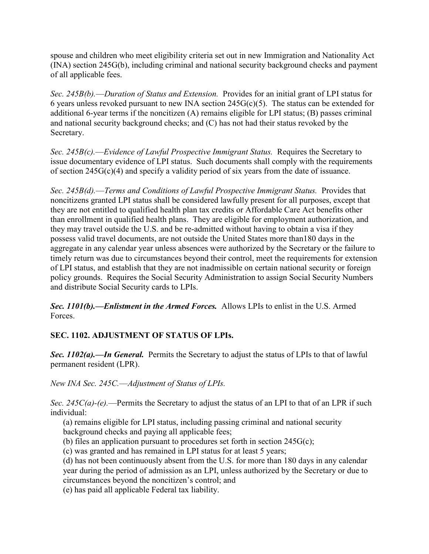spouse and children who meet eligibility criteria set out in new Immigration and Nationality Act (INA) section 245G(b), including criminal and national security background checks and payment of all applicable fees.

*Sec. 245B(b).––Duration of Status and Extension.* Provides for an initial grant of LPI status for 6 years unless revoked pursuant to new INA section  $245G(c)(5)$ . The status can be extended for additional 6-year terms if the noncitizen (A) remains eligible for LPI status; (B) passes criminal and national security background checks; and (C) has not had their status revoked by the Secretary.

*Sec. 245B(c).––Evidence of Lawful Prospective Immigrant Status.* Requires the Secretary to issue documentary evidence of LPI status. Such documents shall comply with the requirements of section  $245G(c)(4)$  and specify a validity period of six years from the date of issuance.

*Sec. 245B(d).––Terms and Conditions of Lawful Prospective Immigrant Status.* Provides that noncitizens granted LPI status shall be considered lawfully present for all purposes, except that they are not entitled to qualified health plan tax credits or Affordable Care Act benefits other than enrollment in qualified health plans. They are eligible for employment authorization, and they may travel outside the U.S. and be re-admitted without having to obtain a visa if they possess valid travel documents, are not outside the United States more than180 days in the aggregate in any calendar year unless absences were authorized by the Secretary or the failure to timely return was due to circumstances beyond their control, meet the requirements for extension of LPI status, and establish that they are not inadmissible on certain national security or foreign policy grounds. Requires the Social Security Administration to assign Social Security Numbers and distribute Social Security cards to LPIs.

*Sec. 1101(b).––Enlistment in the Armed Forces.* Allows LPIs to enlist in the U.S. Armed Forces.

### **SEC. 1102. ADJUSTMENT OF STATUS OF LPIs.**

*Sec. 1102(a).––In General.*Permits the Secretary to adjust the status of LPIs to that of lawful permanent resident (LPR).

*New INA Sec. 245C.––Adjustment of Status of LPIs.* 

*Sec. 245C(a)-(e).––*Permits the Secretary to adjust the status of an LPI to that of an LPR if such individual:

(a) remains eligible for LPI status, including passing criminal and national security background checks and paying all applicable fees;

(b) files an application pursuant to procedures set forth in section 245G(c);

(c) was granted and has remained in LPI status for at least 5 years;

(d) has not been continuously absent from the U.S. for more than 180 days in any calendar year during the period of admission as an LPI, unless authorized by the Secretary or due to circumstances beyond the noncitizen's control; and

(e) has paid all applicable Federal tax liability.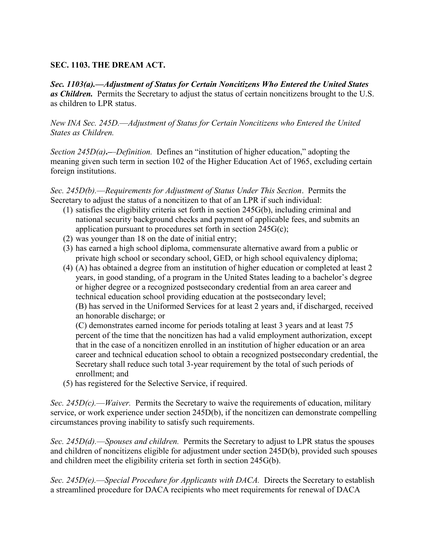#### **SEC. 1103. THE DREAM ACT.**

*Sec. 1103(a).––Adjustment of Status for Certain Noncitizens Who Entered the United States as Children.* Permits the Secretary to adjust the status of certain noncitizens brought to the U.S. as children to LPR status.

*New INA Sec. 245D.––Adjustment of Status for Certain Noncitizens who Entered the United States as Children.* 

*Section 245D(a)*——*Definition.* Defines an "institution of higher education," adopting the meaning given such term in section 102 of the Higher Education Act of 1965, excluding certain foreign institutions.

*Sec. 245D(b).––Requirements for Adjustment of Status Under This Section*. Permits the Secretary to adjust the status of a noncitizen to that of an LPR if such individual:

- (1) satisfies the eligibility criteria set forth in section 245G(b), including criminal and national security background checks and payment of applicable fees, and submits an application pursuant to procedures set forth in section  $245G(c)$ ;
- (2) was younger than 18 on the date of initial entry;
- (3) has earned a high school diploma, commensurate alternative award from a public or private high school or secondary school, GED, or high school equivalency diploma;
- (4) (A) has obtained a degree from an institution of higher education or completed at least 2 years, in good standing, of a program in the United States leading to a bachelor's degree or higher degree or a recognized postsecondary credential from an area career and technical education school providing education at the postsecondary level; (B) has served in the Uniformed Services for at least 2 years and, if discharged, received an honorable discharge; or

(C) demonstrates earned income for periods totaling at least 3 years and at least 75 percent of the time that the noncitizen has had a valid employment authorization, except that in the case of a noncitizen enrolled in an institution of higher education or an area career and technical education school to obtain a recognized postsecondary credential, the Secretary shall reduce such total 3-year requirement by the total of such periods of enrollment; and

(5) has registered for the Selective Service, if required.

*Sec. 245D(c).––Waiver.* Permits the Secretary to waive the requirements of education, military service, or work experience under section 245D(b), if the noncitizen can demonstrate compelling circumstances proving inability to satisfy such requirements.

*Sec. 245D(d).––Spouses and children.* Permits the Secretary to adjust to LPR status the spouses and children of noncitizens eligible for adjustment under section 245D(b), provided such spouses and children meet the eligibility criteria set forth in section 245G(b).

*Sec. 245D(e).––Special Procedure for Applicants with DACA.* Directs the Secretary to establish a streamlined procedure for DACA recipients who meet requirements for renewal of DACA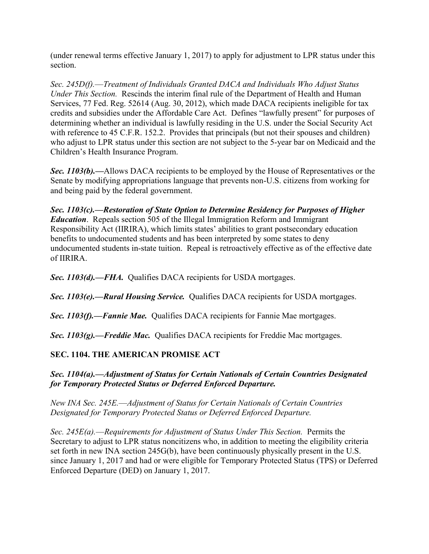(under renewal terms effective January 1, 2017) to apply for adjustment to LPR status under this section.

*Sec. 245D(f).––Treatment of Individuals Granted DACA and Individuals Who Adjust Status Under This Section.* Rescinds the interim final rule of the Department of Health and Human Services, 77 Fed. Reg. 52614 (Aug. 30, 2012), which made DACA recipients ineligible for tax credits and subsidies under the Affordable Care Act. Defines "lawfully present" for purposes of determining whether an individual is lawfully residing in the U.S. under the Social Security Act with reference to 45 C.F.R. 152.2. Provides that principals (but not their spouses and children) who adjust to LPR status under this section are not subject to the 5-year bar on Medicaid and the Children's Health Insurance Program.

*Sec. 1103(b).––*Allows DACA recipients to be employed by the House of Representatives or the Senate by modifying appropriations language that prevents non-U.S. citizens from working for and being paid by the federal government.

*Sec. 1103(c).––Restoration of State Option to Determine Residency for Purposes of Higher Education*. Repeals section 505 of the Illegal Immigration Reform and Immigrant Responsibility Act (IIRIRA), which limits states' abilities to grant postsecondary education benefits to undocumented students and has been interpreted by some states to deny undocumented students in-state tuition. Repeal is retroactively effective as of the effective date of IIRIRA.

*Sec. 1103(d).––FHA.*Qualifies DACA recipients for USDA mortgages.

*Sec. 1103(e).––Rural Housing Service.* Qualifies DACA recipients for USDA mortgages.

*Sec. 1103(f).––Fannie Mae.* Qualifies DACA recipients for Fannie Mae mortgages.

*Sec. 1103(g).––Freddie Mac.* Qualifies DACA recipients for Freddie Mac mortgages.

#### **SEC. 1104. THE AMERICAN PROMISE ACT**

*Sec. 1104(a).––Adjustment of Status for Certain Nationals of Certain Countries Designated for Temporary Protected Status or Deferred Enforced Departure.*

*New INA Sec. 245E.––Adjustment of Status for Certain Nationals of Certain Countries Designated for Temporary Protected Status or Deferred Enforced Departure.* 

*Sec. 245E(a).––Requirements for Adjustment of Status Under This Section.*Permits the Secretary to adjust to LPR status noncitizens who, in addition to meeting the eligibility criteria set forth in new INA section 245G(b), have been continuously physically present in the U.S. since January 1, 2017 and had or were eligible for Temporary Protected Status (TPS) or Deferred Enforced Departure (DED) on January 1, 2017.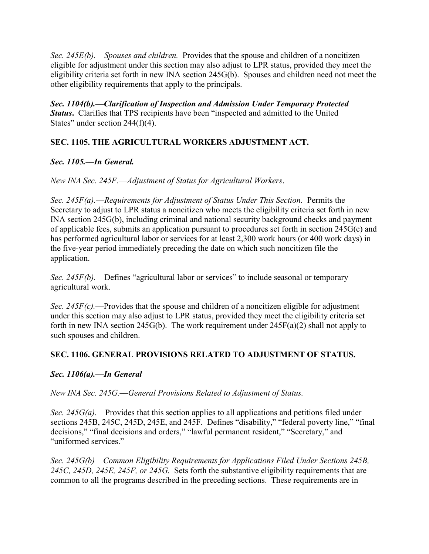*Sec. 245E(b).––Spouses and children.* Provides that the spouse and children of a noncitizen eligible for adjustment under this section may also adjust to LPR status, provided they meet the eligibility criteria set forth in new INA section 245G(b). Spouses and children need not meet the other eligibility requirements that apply to the principals.

*Sec. 1104(b).––Clarification of Inspection and Admission Under Temporary Protected Status*. Clarifies that TPS recipients have been "inspected and admitted to the United States" under section  $244(f)(4)$ .

### **SEC. 1105. THE AGRICULTURAL WORKERS ADJUSTMENT ACT.**

### *Sec. 1105.––In General.*

#### *New INA Sec. 245F.––Adjustment of Status for Agricultural Workers*.

*Sec. 245F(a).––Requirements for Adjustment of Status Under This Section.* Permits the Secretary to adjust to LPR status a noncitizen who meets the eligibility criteria set forth in new INA section 245G(b), including criminal and national security background checks and payment of applicable fees, submits an application pursuant to procedures set forth in section 245G(c) and has performed agricultural labor or services for at least 2,300 work hours (or 400 work days) in the five-year period immediately preceding the date on which such noncitizen file the application.

*Sec. 245F(b).*—Defines "agricultural labor or services" to include seasonal or temporary agricultural work.

*Sec. 245F(c).––*Provides that the spouse and children of a noncitizen eligible for adjustment under this section may also adjust to LPR status, provided they meet the eligibility criteria set forth in new INA section 245G(b). The work requirement under  $245F(a)(2)$  shall not apply to such spouses and children.

#### **SEC. 1106. GENERAL PROVISIONS RELATED TO ADJUSTMENT OF STATUS.**

#### *Sec. 1106(a).––In General*

#### *New INA Sec. 245G.––General Provisions Related to Adjustment of Status.*

*Sec. 245G(a).*—Provides that this section applies to all applications and petitions filed under sections 245B, 245C, 245D, 245E, and 245F. Defines "disability," "federal poverty line," "final decisions," "final decisions and orders," "lawful permanent resident," "Secretary," and "uniformed services."

*Sec. 245G(b)––Common Eligibility Requirements for Applications Filed Under Sections 245B, 245C, 245D, 245E, 245F, or 245G.* Sets forth the substantive eligibility requirements that are common to all the programs described in the preceding sections. These requirements are in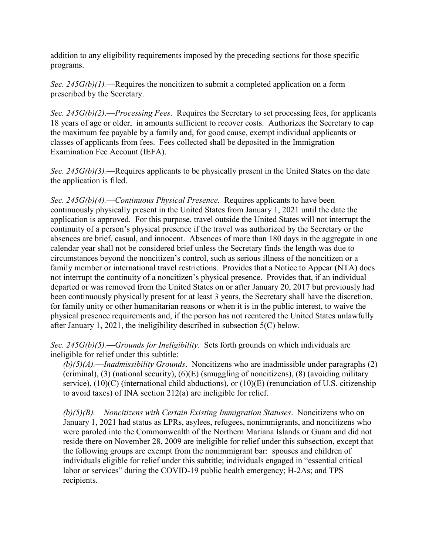addition to any eligibility requirements imposed by the preceding sections for those specific programs.

*Sec. 245G(b)(1).*—Requires the noncitizen to submit a completed application on a form prescribed by the Secretary.

*Sec. 245G(b)(2)*.––*Processing Fees*. Requires the Secretary to set processing fees, for applicants 18 years of age or older, in amounts sufficient to recover costs. Authorizes the Secretary to cap the maximum fee payable by a family and, for good cause, exempt individual applicants or classes of applicants from fees. Fees collected shall be deposited in the Immigration Examination Fee Account (IEFA).

*Sec. 245G(b)(3).*—Requires applicants to be physically present in the United States on the date the application is filed.

*Sec. 245G(b)(4).––Continuous Physical Presence.* Requires applicants to have been continuously physically present in the United States from January 1, 2021 until the date the application is approved. For this purpose, travel outside the United States will not interrupt the continuity of a person's physical presence if the travel was authorized by the Secretary or the absences are brief, casual, and innocent. Absences of more than 180 days in the aggregate in one calendar year shall not be considered brief unless the Secretary finds the length was due to circumstances beyond the noncitizen's control, such as serious illness of the noncitizen or a family member or international travel restrictions. Provides that a Notice to Appear (NTA) does not interrupt the continuity of a noncitizen's physical presence. Provides that, if an individual departed or was removed from the United States on or after January 20, 2017 but previously had been continuously physically present for at least 3 years, the Secretary shall have the discretion, for family unity or other humanitarian reasons or when it is in the public interest, to waive the physical presence requirements and, if the person has not reentered the United States unlawfully after January 1, 2021, the ineligibility described in subsection 5(C) below.

*Sec. 245G(b)(5).––Grounds for Ineligibility.* Sets forth grounds on which individuals are ineligible for relief under this subtitle:

*(b)(5)(A).––Inadmissibility Grounds*. Noncitizens who are inadmissible under paragraphs (2) (criminal), (3) (national security), (6)(E) (smuggling of noncitizens), (8) (avoiding military service), (10)(C) (international child abductions), or (10)(E) (renunciation of U.S. citizenship to avoid taxes) of INA section 212(a) are ineligible for relief.

*(b)(5)(B).––Noncitizens with Certain Existing Immigration Statuses*. Noncitizens who on January 1, 2021 had status as LPRs, asylees, refugees, nonimmigrants, and noncitizens who were paroled into the Commonwealth of the Northern Mariana Islands or Guam and did not reside there on November 28, 2009 are ineligible for relief under this subsection, except that the following groups are exempt from the nonimmigrant bar: spouses and children of individuals eligible for relief under this subtitle; individuals engaged in "essential critical labor or services" during the COVID-19 public health emergency; H-2As; and TPS recipients.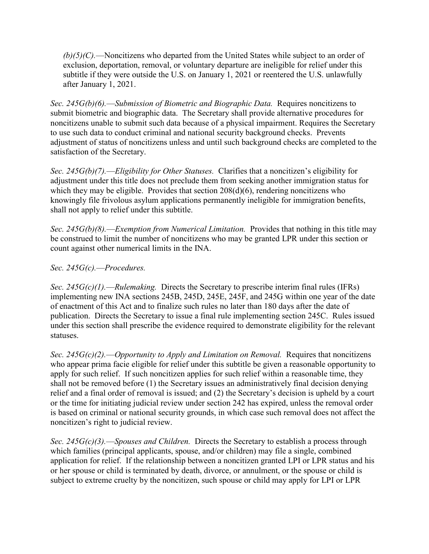*(b)(5)(C).––*Noncitizens who departed from the United States while subject to an order of exclusion, deportation, removal, or voluntary departure are ineligible for relief under this subtitle if they were outside the U.S. on January 1, 2021 or reentered the U.S. unlawfully after January 1, 2021.

*Sec. 245G(b)(6).––Submission of Biometric and Biographic Data.* Requires noncitizens to submit biometric and biographic data. The Secretary shall provide alternative procedures for noncitizens unable to submit such data because of a physical impairment. Requires the Secretary to use such data to conduct criminal and national security background checks. Prevents adjustment of status of noncitizens unless and until such background checks are completed to the satisfaction of the Secretary.

*Sec. 245G(b)(7).—Eligibility for Other Statuses.* Clarifies that a noncitizen's eligibility for adjustment under this title does not preclude them from seeking another immigration status for which they may be eligible. Provides that section  $208(d)(6)$ , rendering noncitizens who knowingly file frivolous asylum applications permanently ineligible for immigration benefits, shall not apply to relief under this subtitle.

*Sec. 245G(b)(8).––Exemption from Numerical Limitation.* Provides that nothing in this title may be construed to limit the number of noncitizens who may be granted LPR under this section or count against other numerical limits in the INA.

#### *Sec. 245G(c).––Procedures.*

*Sec. 245G(c)(1).––Rulemaking.* Directs the Secretary to prescribe interim final rules (IFRs) implementing new INA sections 245B, 245D, 245E, 245F, and 245G within one year of the date of enactment of this Act and to finalize such rules no later than 180 days after the date of publication. Directs the Secretary to issue a final rule implementing section 245C. Rules issued under this section shall prescribe the evidence required to demonstrate eligibility for the relevant statuses.

*Sec. 245G(c)(2).––Opportunity to Apply and Limitation on Removal.* Requires that noncitizens who appear prima facie eligible for relief under this subtitle be given a reasonable opportunity to apply for such relief. If such noncitizen applies for such relief within a reasonable time, they shall not be removed before (1) the Secretary issues an administratively final decision denying relief and a final order of removal is issued; and (2) the Secretary's decision is upheld by a court or the time for initiating judicial review under section 242 has expired, unless the removal order is based on criminal or national security grounds, in which case such removal does not affect the noncitizen's right to judicial review.

*Sec. 245G(c)(3).––Spouses and Children.* Directs the Secretary to establish a process through which families (principal applicants, spouse, and/or children) may file a single, combined application for relief. If the relationship between a noncitizen granted LPI or LPR status and his or her spouse or child is terminated by death, divorce, or annulment, or the spouse or child is subject to extreme cruelty by the noncitizen, such spouse or child may apply for LPI or LPR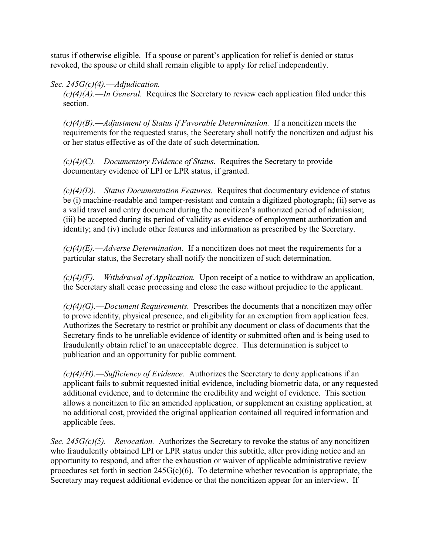status if otherwise eligible. If a spouse or parent's application for relief is denied or status revoked, the spouse or child shall remain eligible to apply for relief independently.

#### *Sec. 245G(c)(4).––Adjudication.*

*(c)(4)(A).––In General.* Requires the Secretary to review each application filed under this section.

*(c)(4)(B).––Adjustment of Status if Favorable Determination.* If a noncitizen meets the requirements for the requested status, the Secretary shall notify the noncitizen and adjust his or her status effective as of the date of such determination.

*(c)(4)(C).––Documentary Evidence of Status.* Requires the Secretary to provide documentary evidence of LPI or LPR status, if granted.

*(c)(4)(D).––Status Documentation Features.* Requires that documentary evidence of status be (i) machine-readable and tamper-resistant and contain a digitized photograph; (ii) serve as a valid travel and entry document during the noncitizen's authorized period of admission; (iii) be accepted during its period of validity as evidence of employment authorization and identity; and (iv) include other features and information as prescribed by the Secretary.

*(c)(4)(E).––Adverse Determination.* If a noncitizen does not meet the requirements for a particular status, the Secretary shall notify the noncitizen of such determination.

*(c)(4)(F).––Withdrawal of Application.* Upon receipt of a notice to withdraw an application, the Secretary shall cease processing and close the case without prejudice to the applicant.

*(c)(4)(G).––Document Requirements.* Prescribes the documents that a noncitizen may offer to prove identity, physical presence, and eligibility for an exemption from application fees. Authorizes the Secretary to restrict or prohibit any document or class of documents that the Secretary finds to be unreliable evidence of identity or submitted often and is being used to fraudulently obtain relief to an unacceptable degree. This determination is subject to publication and an opportunity for public comment.

*(c)(4)(H).––Sufficiency of Evidence.* Authorizes the Secretary to deny applications if an applicant fails to submit requested initial evidence, including biometric data, or any requested additional evidence, and to determine the credibility and weight of evidence. This section allows a noncitizen to file an amended application, or supplement an existing application, at no additional cost, provided the original application contained all required information and applicable fees.

*Sec. 245G(c)(5).––Revocation.* Authorizes the Secretary to revoke the status of any noncitizen who fraudulently obtained LPI or LPR status under this subtitle, after providing notice and an opportunity to respond, and after the exhaustion or waiver of applicable administrative review procedures set forth in section  $245G(c)(6)$ . To determine whether revocation is appropriate, the Secretary may request additional evidence or that the noncitizen appear for an interview. If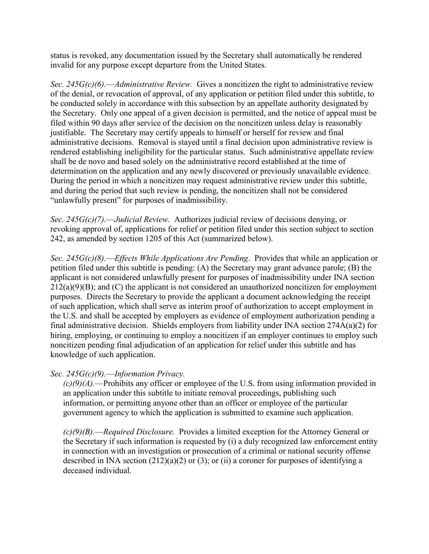status is revoked, any documentation issued by the Secretary shall automatically be rendered invalid for any purpose except departure from the United States.

*Sec. 245G(c)(6).––Administrative Review.* Gives a noncitizen the right to administrative review of the denial, or revocation of approval, of any application or petition filed under this subtitle, to be conducted solely in accordance with this subsection by an appellate authority designated by the Secretary. Only one appeal of a given decision is permitted, and the notice of appeal must be filed within 90 days after service of the decision on the noncitizen unless delay is reasonably justifiable. The Secretary may certify appeals to himself or herself for review and final administrative decisions. Removal is stayed until a final decision upon administrative review is rendered establishing ineligibility for the particular status. Such administrative appellate review shall be de novo and based solely on the administrative record established at the time of determination on the application and any newly discovered or previously unavailable evidence. During the period in which a noncitizen may request administrative review under this subtitle, and during the period that such review is pending, the noncitizen shall not be considered "unlawfully present" for purposes of inadmissibility.

*Sec. 245G(c)(7).––Judicial Review.* Authorizes judicial review of decisions denying, or revoking approval of, applications for relief or petition filed under this section subject to section 242, as amended by section 1205 of this Act (summarized below).

*Sec. 245G(c)(8).––Effects While Applications Are Pending*. Provides that while an application or petition filed under this subtitle is pending: (A) the Secretary may grant advance parole; (B) the applicant is not considered unlawfully present for purposes of inadmissibility under INA section  $212(a)(9)(B)$ ; and  $(C)$  the applicant is not considered an unauthorized noncitizen for employment purposes. Directs the Secretary to provide the applicant a document acknowledging the receipt of such application, which shall serve as interim proof of authorization to accept employment in the U.S. and shall be accepted by employers as evidence of employment authorization pending a final administrative decision. Shields employers from liability under INA section 274A(a)(2) for hiring, employing, or continuing to employ a noncitizen if an employer continues to employ such noncitizen pending final adjudication of an application for relief under this subtitle and has knowledge of such application.

#### *Sec. 245G(c)(9).––Information Privacy.*

*(c)(9)(A).––*Prohibits any officer or employee of the U.S. from using information provided in an application under this subtitle to initiate removal proceedings, publishing such information, or permitting anyone other than an officer or employee of the particular government agency to which the application is submitted to examine such application.

*(c)(9)(B).––Required Disclosure.* Provides a limited exception for the Attorney General or the Secretary if such information is requested by (i) a duly recognized law enforcement entity in connection with an investigation or prosecution of a criminal or national security offense described in INA section  $(212)(a)(2)$  or  $(3)$ ; or  $(ii)$  a coroner for purposes of identifying a deceased individual.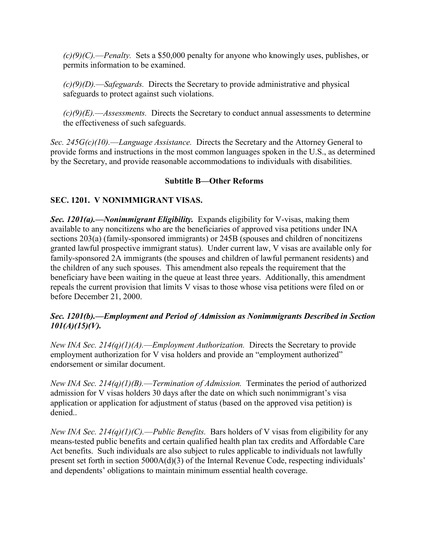*(c)(9)(C).––Penalty.* Sets a \$50,000 penalty for anyone who knowingly uses, publishes, or permits information to be examined.

*(c)(9)(D).––Safeguards.* Directs the Secretary to provide administrative and physical safeguards to protect against such violations.

*(c)(9)(E).––Assessments.* Directs the Secretary to conduct annual assessments to determine the effectiveness of such safeguards.

*Sec. 245G(c)(10).––Language Assistance.* Directs the Secretary and the Attorney General to provide forms and instructions in the most common languages spoken in the U.S., as determined by the Secretary, and provide reasonable accommodations to individuals with disabilities.

#### **Subtitle B—Other Reforms**

#### **SEC. 1201. V NONIMMIGRANT VISAS.**

*Sec. 1201(a).––Nonimmigrant Eligibility.* Expands eligibility for V-visas, making them available to any noncitizens who are the beneficiaries of approved visa petitions under INA sections 203(a) (family-sponsored immigrants) or 245B (spouses and children of noncitizens granted lawful prospective immigrant status). Under current law, V visas are available only for family-sponsored 2A immigrants (the spouses and children of lawful permanent residents) and the children of any such spouses. This amendment also repeals the requirement that the beneficiary have been waiting in the queue at least three years. Additionally, this amendment repeals the current provision that limits V visas to those whose visa petitions were filed on or before December 21, 2000.

#### *Sec. 1201(b).––Employment and Period of Admission as Nonimmigrants Described in Section 101(A)(15)(V).*

*New INA Sec. 214(q)(1)(A).––Employment Authorization.* Directs the Secretary to provide employment authorization for V visa holders and provide an "employment authorized" endorsement or similar document.

*New INA Sec. 214(q)(1)(B).––Termination of Admission.* Terminates the period of authorized admission for V visas holders 30 days after the date on which such nonimmigrant's visa application or application for adjustment of status (based on the approved visa petition) is denied..

*New INA Sec. 214(q)(1)(C).––Public Benefits.* Bars holders of V visas from eligibility for any means-tested public benefits and certain qualified health plan tax credits and Affordable Care Act benefits. Such individuals are also subject to rules applicable to individuals not lawfully present set forth in section  $5000A(d)(3)$  of the Internal Revenue Code, respecting individuals' and dependents' obligations to maintain minimum essential health coverage.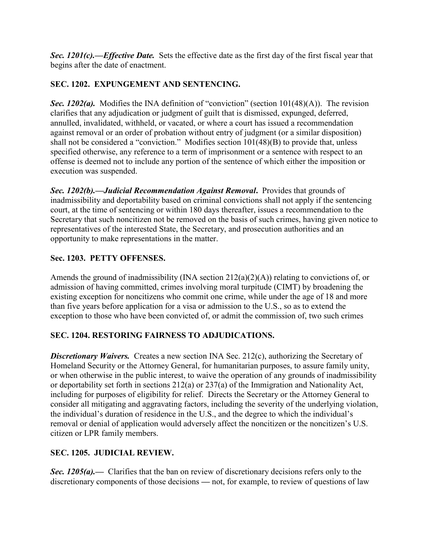*Sec. 1201(c).––Effective Date.* Sets the effective date as the first day of the first fiscal year that begins after the date of enactment.

### **SEC. 1202. EXPUNGEMENT AND SENTENCING.**

*Sec. 1202(a).* Modifies the INA definition of "conviction" (section  $101(48)(A)$ ). The revision clarifies that any adjudication or judgment of guilt that is dismissed, expunged, deferred, annulled, invalidated, withheld, or vacated, or where a court has issued a recommendation against removal or an order of probation without entry of judgment (or a similar disposition) shall not be considered a "conviction." Modifies section  $101(48)(B)$  to provide that, unless specified otherwise, any reference to a term of imprisonment or a sentence with respect to an offense is deemed not to include any portion of the sentence of which either the imposition or execution was suspended.

*Sec. 1202(b).––Judicial Recommendation Against Removal***.** Provides that grounds of inadmissibility and deportability based on criminal convictions shall not apply if the sentencing court, at the time of sentencing or within 180 days thereafter, issues a recommendation to the Secretary that such noncitizen not be removed on the basis of such crimes, having given notice to representatives of the interested State, the Secretary, and prosecution authorities and an opportunity to make representations in the matter.

### **Sec. 1203. PETTY OFFENSES.**

Amends the ground of inadmissibility (INA section  $212(a)(2)(A)$ ) relating to convictions of, or admission of having committed, crimes involving moral turpitude (CIMT) by broadening the existing exception for noncitizens who commit one crime, while under the age of 18 and more than five years before application for a visa or admission to the U.S., so as to extend the exception to those who have been convicted of, or admit the commission of, two such crimes

### **SEC. 1204. RESTORING FAIRNESS TO ADJUDICATIONS.**

**Discretionary Waivers.** Creates a new section INA Sec. 212(c), authorizing the Secretary of Homeland Security or the Attorney General, for humanitarian purposes, to assure family unity, or when otherwise in the public interest, to waive the operation of any grounds of inadmissibility or deportability set forth in sections 212(a) or 237(a) of the Immigration and Nationality Act, including for purposes of eligibility for relief. Directs the Secretary or the Attorney General to consider all mitigating and aggravating factors, including the severity of the underlying violation, the individual's duration of residence in the U.S., and the degree to which the individual's removal or denial of application would adversely affect the noncitizen or the noncitizen's U.S. citizen or LPR family members.

### **SEC. 1205. JUDICIAL REVIEW.**

*Sec. 1205(a).––*Clarifies that the ban on review of discretionary decisions refers only to the discretionary components of those decisions *––* not, for example, to review of questions of law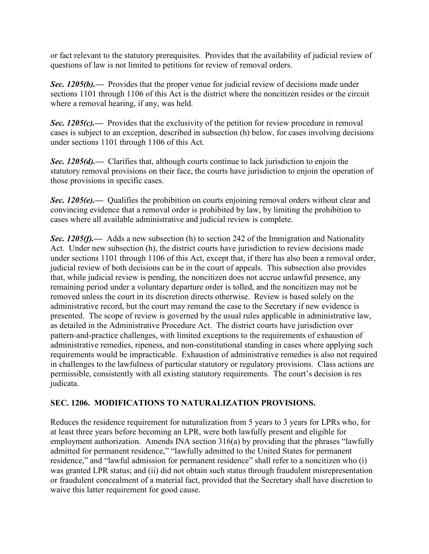or fact relevant to the statutory prerequisites. Provides that the availability of judicial review of questions of law is not limited to petitions for review of removal orders.

*Sec. 1205(b).*— Provides that the proper venue for judicial review of decisions made under sections 1101 through 1106 of this Act is the district where the noncitizen resides or the circuit where a removal hearing, if any, was held.

**Sec. 1205(c).**— Provides that the exclusivity of the petition for review procedure in removal cases is subject to an exception, described in subsection (h) below, for cases involving decisions under sections 1101 through 1106 of this Act.

**Sec. 1205(d).**— Clarifies that, although courts continue to lack jurisdiction to enjoin the statutory removal provisions on their face, the courts have jurisdiction to enjoin the operation of those provisions in specific cases.

**Sec. 1205(e).**— Qualifies the prohibition on courts enjoining removal orders without clear and convincing evidence that a removal order is prohibited by law, by limiting the prohibition to cases where all available administrative and judicial review is complete.

*Sec. 1205(f).*— Adds a new subsection (h) to section 242 of the Immigration and Nationality Act. Under new subsection (h), the district courts have jurisdiction to review decisions made under sections 1101 through 1106 of this Act, except that, if there has also been a removal order, judicial review of both decisions can be in the court of appeals. This subsection also provides that, while judicial review is pending, the noncitizen does not accrue unlawful presence, any remaining period under a voluntary departure order is tolled, and the noncitizen may not be removed unless the court in its discretion directs otherwise. Review is based solely on the administrative record, but the court may remand the case to the Secretary if new evidence is presented. The scope of review is governed by the usual rules applicable in administrative law, as detailed in the Administrative Procedure Act. The district courts have jurisdiction over pattern-and-practice challenges, with limited exceptions to the requirements of exhaustion of administrative remedies, ripeness, and non-constitutional standing in cases where applying such requirements would be impracticable. Exhaustion of administrative remedies is also not required in challenges to the lawfulness of particular statutory or regulatory provisions. Class actions are permissible, consistently with all existing statutory requirements. The court's decision is res judicata.

### **SEC. 1206. MODIFICATIONS TO NATURALIZATION PROVISIONS.**

Reduces the residence requirement for naturalization from 5 years to 3 years for LPRs who, for at least three years before becoming an LPR, were both lawfully present and eligible for employment authorization. Amends INA section  $316(a)$  by providing that the phrases "lawfully admitted for permanent residence," "lawfully admitted to the United States for permanent residence," and "lawful admission for permanent residence" shall refer to a noncitizen who (i) was granted LPR status; and (ii) did not obtain such status through fraudulent misrepresentation or fraudulent concealment of a material fact, provided that the Secretary shall have discretion to waive this latter requirement for good cause.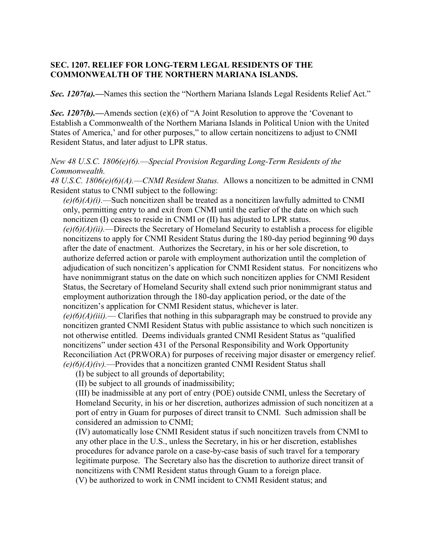#### **SEC. 1207. RELIEF FOR LONG-TERM LEGAL RESIDENTS OF THE COMMONWEALTH OF THE NORTHERN MARIANA ISLANDS.**

*Sec. 1207(a).*—Names this section the "Northern Mariana Islands Legal Residents Relief Act."

*Sec. 1207(b).*—Amends section (e)(6) of "A Joint Resolution to approve the 'Covenant to Establish a Commonwealth of the Northern Mariana Islands in Political Union with the United States of America,' and for other purposes," to allow certain noncitizens to adjust to CNMI Resident Status, and later adjust to LPR status.

*New 48 U.S.C. 1806(e)(6).––Special Provision Regarding Long-Term Residents of the Commonwealth.*

*48 U.S.C. 1806(e)(6)(A).––CNMI Resident Status.* Allows a noncitizen to be admitted in CNMI Resident status to CNMI subject to the following:

*(e)(6)(A)(i).––*Such noncitizen shall be treated as a noncitizen lawfully admitted to CNMI only, permitting entry to and exit from CNMI until the earlier of the date on which such noncitizen (I) ceases to reside in CNMI or (II) has adjusted to LPR status.

*(e)(6)(A)(ii).––*Directs the Secretary of Homeland Security to establish a process for eligible noncitizens to apply for CNMI Resident Status during the 180-day period beginning 90 days after the date of enactment. Authorizes the Secretary, in his or her sole discretion, to authorize deferred action or parole with employment authorization until the completion of adjudication of such noncitizen's application for CNMI Resident status. For noncitizens who have nonimmigrant status on the date on which such noncitizen applies for CNMI Resident Status, the Secretary of Homeland Security shall extend such prior nonimmigrant status and employment authorization through the 180-day application period, or the date of the noncitizen's application for CNMI Resident status, whichever is later.

*(e)(6)(A)(iii).––* Clarifies that nothing in this subparagraph may be construed to provide any noncitizen granted CNMI Resident Status with public assistance to which such noncitizen is not otherwise entitled. Deems individuals granted CNMI Resident Status as "qualified noncitizens" under section 431 of the Personal Responsibility and Work Opportunity Reconciliation Act (PRWORA) for purposes of receiving major disaster or emergency relief. *(e)(6)(A)(iv).––*Provides that a noncitizen granted CNMI Resident Status shall

(I) be subject to all grounds of deportability;

(II) be subject to all grounds of inadmissibility;

(III) be inadmissible at any port of entry (POE) outside CNMI, unless the Secretary of Homeland Security, in his or her discretion, authorizes admission of such noncitizen at a port of entry in Guam for purposes of direct transit to CNMI. Such admission shall be considered an admission to CNMI;

(IV) automatically lose CNMI Resident status if such noncitizen travels from CNMI to any other place in the U.S., unless the Secretary, in his or her discretion, establishes procedures for advance parole on a case-by-case basis of such travel for a temporary legitimate purpose. The Secretary also has the discretion to authorize direct transit of noncitizens with CNMI Resident status through Guam to a foreign place.

(V) be authorized to work in CNMI incident to CNMI Resident status; and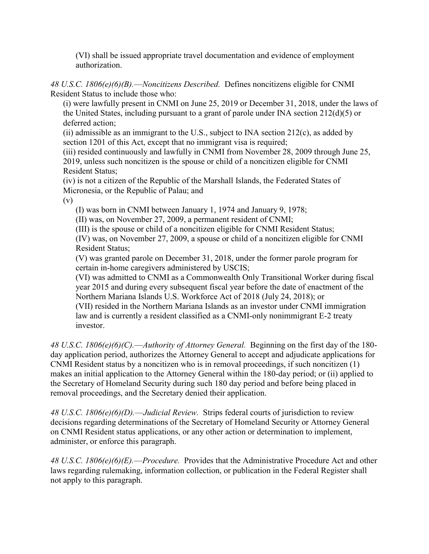(VI) shall be issued appropriate travel documentation and evidence of employment authorization.

*48 U.S.C. 1806(e)(6)(B).––Noncitizens Described.* Defines noncitizens eligible for CNMI Resident Status to include those who:

(i) were lawfully present in CNMI on June 25, 2019 or December 31, 2018, under the laws of the United States, including pursuant to a grant of parole under INA section 212(d)(5) or deferred action;

(ii) admissible as an immigrant to the U.S., subject to INA section  $212(c)$ , as added by section 1201 of this Act, except that no immigrant visa is required;

(iii) resided continuously and lawfully in CNMI from November 28, 2009 through June 25, 2019, unless such noncitizen is the spouse or child of a noncitizen eligible for CNMI Resident Status;

(iv) is not a citizen of the Republic of the Marshall Islands, the Federated States of Micronesia, or the Republic of Palau; and

(v)

(I) was born in CNMI between January 1, 1974 and January 9, 1978;

(II) was, on November 27, 2009, a permanent resident of CNMI;

(III) is the spouse or child of a noncitizen eligible for CNMI Resident Status;

(IV) was, on November 27, 2009, a spouse or child of a noncitizen eligible for CNMI Resident Status;

(V) was granted parole on December 31, 2018, under the former parole program for certain in-home caregivers administered by USCIS;

(VI) was admitted to CNMI as a Commonwealth Only Transitional Worker during fiscal year 2015 and during every subsequent fiscal year before the date of enactment of the Northern Mariana Islands U.S. Workforce Act of 2018 (July 24, 2018); or

(VII) resided in the Northern Mariana Islands as an investor under CNMI immigration law and is currently a resident classified as a CNMI-only nonimmigrant E-2 treaty investor.

*48 U.S.C. 1806(e)(6)(C).––Authority of Attorney General.* Beginning on the first day of the 180 day application period, authorizes the Attorney General to accept and adjudicate applications for CNMI Resident status by a noncitizen who is in removal proceedings, if such noncitizen (1) makes an initial application to the Attorney General within the 180-day period; or (ii) applied to the Secretary of Homeland Security during such 180 day period and before being placed in removal proceedings, and the Secretary denied their application.

*48 U.S.C. 1806(e)(6)(D).––Judicial Review.* Strips federal courts of jurisdiction to review decisions regarding determinations of the Secretary of Homeland Security or Attorney General on CNMI Resident status applications, or any other action or determination to implement, administer, or enforce this paragraph.

*48 U.S.C. 1806(e)(6)(E).––Procedure.* Provides that the Administrative Procedure Act and other laws regarding rulemaking, information collection, or publication in the Federal Register shall not apply to this paragraph.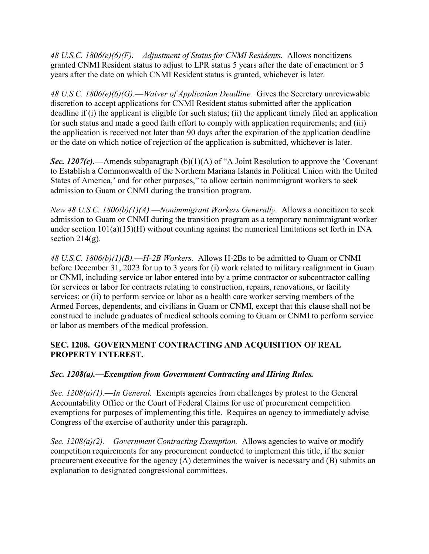*48 U.S.C. 1806(e)(6)(F).––Adjustment of Status for CNMI Residents.* Allows noncitizens granted CNMI Resident status to adjust to LPR status 5 years after the date of enactment or 5 years after the date on which CNMI Resident status is granted, whichever is later.

*48 U.S.C. 1806(e)(6)(G).––Waiver of Application Deadline.* Gives the Secretary unreviewable discretion to accept applications for CNMI Resident status submitted after the application deadline if (i) the applicant is eligible for such status; (ii) the applicant timely filed an application for such status and made a good faith effort to comply with application requirements; and (iii) the application is received not later than 90 days after the expiration of the application deadline or the date on which notice of rejection of the application is submitted, whichever is later.

*Sec. 1207(c).*—Amends subparagraph (b)(1)(A) of "A Joint Resolution to approve the 'Covenant' to Establish a Commonwealth of the Northern Mariana Islands in Political Union with the United States of America,' and for other purposes," to allow certain nonimmigrant workers to seek admission to Guam or CNMI during the transition program.

*New 48 U.S.C. 1806(b)(1)(A).––Nonimmigrant Workers Generally.* Allows a noncitizen to seek admission to Guam or CNMI during the transition program as a temporary nonimmigrant worker under section  $101(a)(15)(H)$  without counting against the numerical limitations set forth in INA section  $214(g)$ .

*48 U.S.C. 1806(b)(1)(B).––H-2B Workers.* Allows H-2Bs to be admitted to Guam or CNMI before December 31, 2023 for up to 3 years for (i) work related to military realignment in Guam or CNMI, including service or labor entered into by a prime contractor or subcontractor calling for services or labor for contracts relating to construction, repairs, renovations, or facility services; or (ii) to perform service or labor as a health care worker serving members of the Armed Forces, dependents, and civilians in Guam or CNMI, except that this clause shall not be construed to include graduates of medical schools coming to Guam or CNMI to perform service or labor as members of the medical profession.

#### **SEC. 1208. GOVERNMENT CONTRACTING AND ACQUISITION OF REAL PROPERTY INTEREST.**

### *Sec. 1208(a).––Exemption from Government Contracting and Hiring Rules.*

*Sec. 1208(a)(1).––In General.* Exempts agencies from challenges by protest to the General Accountability Office or the Court of Federal Claims for use of procurement competition exemptions for purposes of implementing this title. Requires an agency to immediately advise Congress of the exercise of authority under this paragraph.

*Sec. 1208(a)(2).––Government Contracting Exemption.* Allows agencies to waive or modify competition requirements for any procurement conducted to implement this title, if the senior procurement executive for the agency (A) determines the waiver is necessary and (B) submits an explanation to designated congressional committees.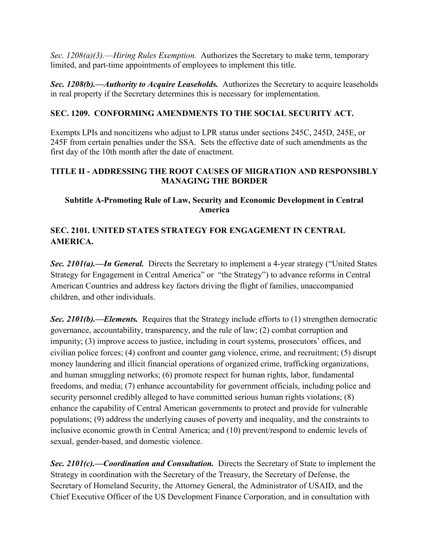*Sec. 1208(a)(3).––Hiring Rules Exemption.* Authorizes the Secretary to make term, temporary limited, and part-time appointments of employees to implement this title.

*Sec. 1208(b).––Authority to Acquire Leaseholds.* Authorizes the Secretary to acquire leaseholds in real property if the Secretary determines this is necessary for implementation.

#### **SEC. 1209. CONFORMING AMENDMENTS TO THE SOCIAL SECURITY ACT.**

Exempts LPIs and noncitizens who adjust to LPR status under sections 245C, 245D, 245E, or 245F from certain penalties under the SSA. Sets the effective date of such amendments as the first day of the 10th month after the date of enactment.

#### **TITLE II - ADDRESSING THE ROOT CAUSES OF MIGRATION AND RESPONSIBLY MANAGING THE BORDER**

#### **Subtitle A-Promoting Rule of Law, Security and Economic Development in Central America**

### **SEC. 2101. UNITED STATES STRATEGY FOR ENGAGEMENT IN CENTRAL AMERICA.**

*Sec. 2101(a).—In General.* Directs the Secretary to implement a 4-year strategy ("United States") Strategy for Engagement in Central America" or "the Strategy") to advance reforms in Central American Countries and address key factors driving the flight of families, unaccompanied children, and other individuals.

*Sec. 2101(b).––Elements.* Requires that the Strategy include efforts to (1) strengthen democratic governance, accountability, transparency, and the rule of law; (2) combat corruption and impunity;  $(3)$  improve access to justice, including in court systems, prosecutors' offices, and civilian police forces; (4) confront and counter gang violence, crime, and recruitment; (5) disrupt money laundering and illicit financial operations of organized crime, trafficking organizations, and human smuggling networks; (6) promote respect for human rights, labor, fundamental freedoms, and media; (7) enhance accountability for government officials, including police and security personnel credibly alleged to have committed serious human rights violations; (8) enhance the capability of Central American governments to protect and provide for vulnerable populations; (9) address the underlying causes of poverty and inequality, and the constraints to inclusive economic growth in Central America; and (10) prevent/respond to endemic levels of sexual, gender-based, and domestic violence.

*Sec. 2101(c).––Coordination and Consultation.* Directs the Secretary of State to implement the Strategy in coordination with the Secretary of the Treasury, the Secretary of Defense, the Secretary of Homeland Security, the Attorney General, the Administrator of USAID, and the Chief Executive Officer of the US Development Finance Corporation, and in consultation with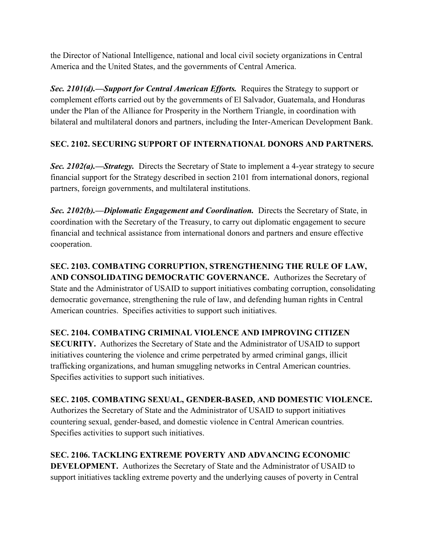the Director of National Intelligence, national and local civil society organizations in Central America and the United States, and the governments of Central America.

*Sec. 2101(d).––Support for Central American Efforts.* Requires the Strategy to support or complement efforts carried out by the governments of El Salvador, Guatemala, and Honduras under the Plan of the Alliance for Prosperity in the Northern Triangle, in coordination with bilateral and multilateral donors and partners, including the Inter-American Development Bank.

# **SEC. 2102. SECURING SUPPORT OF INTERNATIONAL DONORS AND PARTNERS.**

*Sec. 2102(a).––Strategy.* Directs the Secretary of State to implement a 4-year strategy to secure financial support for the Strategy described in section 2101 from international donors, regional partners, foreign governments, and multilateral institutions.

*Sec. 2102(b).––Diplomatic Engagement and Coordination.* Directs the Secretary of State, in coordination with the Secretary of the Treasury, to carry out diplomatic engagement to secure financial and technical assistance from international donors and partners and ensure effective cooperation.

**SEC. 2103. COMBATING CORRUPTION, STRENGTHENING THE RULE OF LAW, AND CONSOLIDATING DEMOCRATIC GOVERNANCE.** Authorizes the Secretary of State and the Administrator of USAID to support initiatives combating corruption, consolidating democratic governance, strengthening the rule of law, and defending human rights in Central American countries. Specifies activities to support such initiatives.

**SEC. 2104. COMBATING CRIMINAL VIOLENCE AND IMPROVING CITIZEN SECURITY.** Authorizes the Secretary of State and the Administrator of USAID to support initiatives countering the violence and crime perpetrated by armed criminal gangs, illicit trafficking organizations, and human smuggling networks in Central American countries. Specifies activities to support such initiatives.

**SEC. 2105. COMBATING SEXUAL, GENDER-BASED, AND DOMESTIC VIOLENCE.**  Authorizes the Secretary of State and the Administrator of USAID to support initiatives countering sexual, gender-based, and domestic violence in Central American countries. Specifies activities to support such initiatives.

**SEC. 2106. TACKLING EXTREME POVERTY AND ADVANCING ECONOMIC DEVELOPMENT.** Authorizes the Secretary of State and the Administrator of USAID to support initiatives tackling extreme poverty and the underlying causes of poverty in Central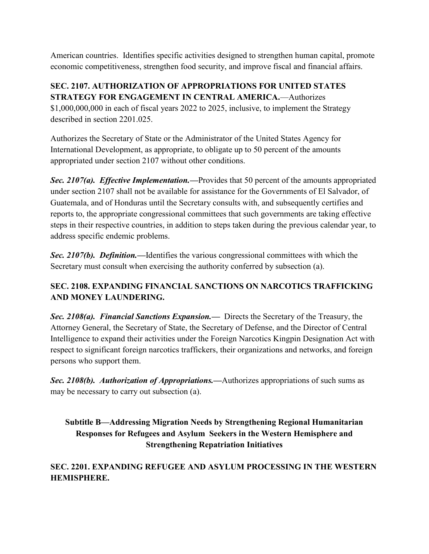American countries. Identifies specific activities designed to strengthen human capital, promote economic competitiveness, strengthen food security, and improve fiscal and financial affairs.

### **SEC. 2107. AUTHORIZATION OF APPROPRIATIONS FOR UNITED STATES STRATEGY FOR ENGAGEMENT IN CENTRAL AMERICA.**—Authorizes

\$1,000,000,000 in each of fiscal years 2022 to 2025, inclusive, to implement the Strategy described in section 2201.025.

Authorizes the Secretary of State or the Administrator of the United States Agency for International Development, as appropriate, to obligate up to 50 percent of the amounts appropriated under section 2107 without other conditions.

*Sec. 2107(a). Effective Implementation.—*Provides that 50 percent of the amounts appropriated under section 2107 shall not be available for assistance for the Governments of El Salvador, of Guatemala, and of Honduras until the Secretary consults with, and subsequently certifies and reports to, the appropriate congressional committees that such governments are taking effective steps in their respective countries, in addition to steps taken during the previous calendar year, to address specific endemic problems.

*Sec. 2107(b). Definition.—*Identifies the various congressional committees with which the Secretary must consult when exercising the authority conferred by subsection (a).

# **SEC. 2108. EXPANDING FINANCIAL SANCTIONS ON NARCOTICS TRAFFICKING AND MONEY LAUNDERING.**

*Sec. 2108(a). Financial Sanctions Expansion.—* Directs the Secretary of the Treasury, the Attorney General, the Secretary of State, the Secretary of Defense, and the Director of Central Intelligence to expand their activities under the Foreign Narcotics Kingpin Designation Act with respect to significant foreign narcotics traffickers, their organizations and networks, and foreign persons who support them.

*Sec. 2108(b). Authorization of Appropriations.—*Authorizes appropriations of such sums as may be necessary to carry out subsection (a).

# **Subtitle B—Addressing Migration Needs by Strengthening Regional Humanitarian Responses for Refugees and Asylum Seekers in the Western Hemisphere and Strengthening Repatriation Initiatives**

### **SEC. 2201. EXPANDING REFUGEE AND ASYLUM PROCESSING IN THE WESTERN HEMISPHERE.**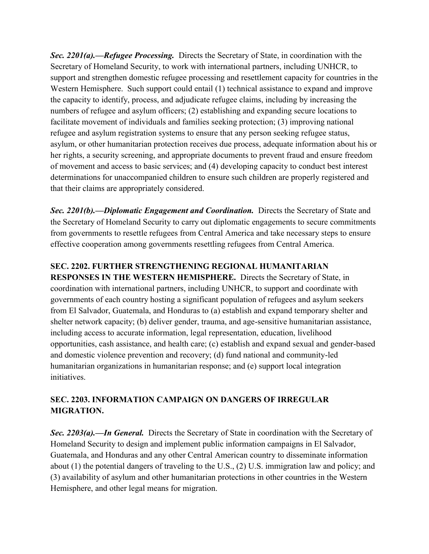*Sec. 2201(a).––Refugee Processing.* Directs the Secretary of State, in coordination with the Secretary of Homeland Security, to work with international partners, including UNHCR, to support and strengthen domestic refugee processing and resettlement capacity for countries in the Western Hemisphere. Such support could entail (1) technical assistance to expand and improve the capacity to identify, process, and adjudicate refugee claims, including by increasing the numbers of refugee and asylum officers; (2) establishing and expanding secure locations to facilitate movement of individuals and families seeking protection; (3) improving national refugee and asylum registration systems to ensure that any person seeking refugee status, asylum, or other humanitarian protection receives due process, adequate information about his or her rights, a security screening, and appropriate documents to prevent fraud and ensure freedom of movement and access to basic services; and (4) developing capacity to conduct best interest determinations for unaccompanied children to ensure such children are properly registered and that their claims are appropriately considered.

*Sec. 2201(b).––Diplomatic Engagement and Coordination.* Directs the Secretary of State and the Secretary of Homeland Security to carry out diplomatic engagements to secure commitments from governments to resettle refugees from Central America and take necessary steps to ensure effective cooperation among governments resettling refugees from Central America.

### **SEC. 2202. FURTHER STRENGTHENING REGIONAL HUMANITARIAN**

**RESPONSES IN THE WESTERN HEMISPHERE.** Directs the Secretary of State, in coordination with international partners, including UNHCR, to support and coordinate with governments of each country hosting a significant population of refugees and asylum seekers from El Salvador, Guatemala, and Honduras to (a) establish and expand temporary shelter and shelter network capacity; (b) deliver gender, trauma, and age-sensitive humanitarian assistance, including access to accurate information, legal representation, education, livelihood opportunities, cash assistance, and health care; (c) establish and expand sexual and gender-based and domestic violence prevention and recovery; (d) fund national and community-led humanitarian organizations in humanitarian response; and (e) support local integration initiatives.

### **SEC. 2203. INFORMATION CAMPAIGN ON DANGERS OF IRREGULAR MIGRATION.**

*Sec. 2203(a).––In General.* Directs the Secretary of State in coordination with the Secretary of Homeland Security to design and implement public information campaigns in El Salvador, Guatemala, and Honduras and any other Central American country to disseminate information about (1) the potential dangers of traveling to the U.S., (2) U.S. immigration law and policy; and (3) availability of asylum and other humanitarian protections in other countries in the Western Hemisphere, and other legal means for migration.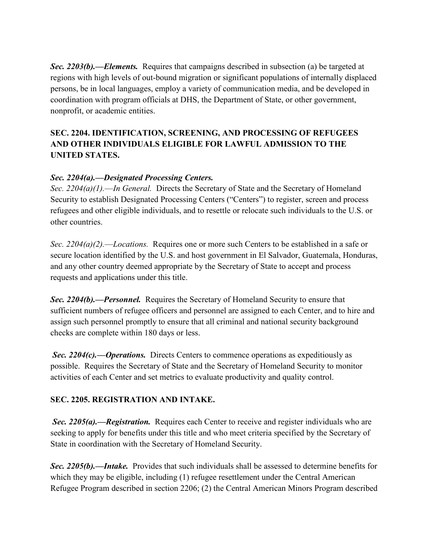*Sec. 2203(b).––Elements.* Requires that campaigns described in subsection (a) be targeted at regions with high levels of out-bound migration or significant populations of internally displaced persons, be in local languages, employ a variety of communication media, and be developed in coordination with program officials at DHS, the Department of State, or other government, nonprofit, or academic entities.

# **SEC. 2204. IDENTIFICATION, SCREENING, AND PROCESSING OF REFUGEES AND OTHER INDIVIDUALS ELIGIBLE FOR LAWFUL ADMISSION TO THE UNITED STATES.**

### *Sec. 2204(a).––Designated Processing Centers.*

*Sec. 2204(a)(1).––In General.* Directs the Secretary of State and the Secretary of Homeland Security to establish Designated Processing Centers ("Centers") to register, screen and process refugees and other eligible individuals, and to resettle or relocate such individuals to the U.S. or other countries.

*Sec. 2204(a)(2).––Locations.* Requires one or more such Centers to be established in a safe or secure location identified by the U.S. and host government in El Salvador, Guatemala, Honduras, and any other country deemed appropriate by the Secretary of State to accept and process requests and applications under this title.

*Sec. 2204(b).––Personnel.* Requires the Secretary of Homeland Security to ensure that sufficient numbers of refugee officers and personnel are assigned to each Center, and to hire and assign such personnel promptly to ensure that all criminal and national security background checks are complete within 180 days or less.

*Sec. 2204(c).––Operations.* Directs Centers to commence operations as expeditiously as possible. Requires the Secretary of State and the Secretary of Homeland Security to monitor activities of each Center and set metrics to evaluate productivity and quality control.

#### **SEC. 2205. REGISTRATION AND INTAKE.**

*Sec. 2205(a).––Registration.* Requires each Center to receive and register individuals who are seeking to apply for benefits under this title and who meet criteria specified by the Secretary of State in coordination with the Secretary of Homeland Security.

*Sec. 2205(b).––Intake.* Provides that such individuals shall be assessed to determine benefits for which they may be eligible, including (1) refugee resettlement under the Central American Refugee Program described in section 2206; (2) the Central American Minors Program described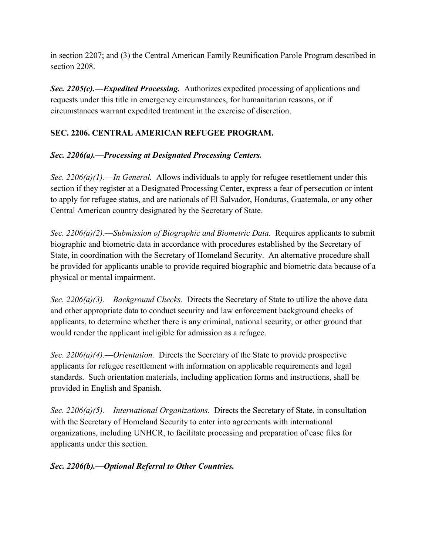in section 2207; and (3) the Central American Family Reunification Parole Program described in section 2208.

*Sec. 2205(c).––Expedited Processing.* Authorizes expedited processing of applications and requests under this title in emergency circumstances, for humanitarian reasons, or if circumstances warrant expedited treatment in the exercise of discretion.

### **SEC. 2206. CENTRAL AMERICAN REFUGEE PROGRAM.**

### *Sec. 2206(a).––Processing at Designated Processing Centers.*

*Sec. 2206(a)(1).––In General.* Allows individuals to apply for refugee resettlement under this section if they register at a Designated Processing Center, express a fear of persecution or intent to apply for refugee status, and are nationals of El Salvador, Honduras, Guatemala, or any other Central American country designated by the Secretary of State.

*Sec. 2206(a)(2).––Submission of Biographic and Biometric Data.* Requires applicants to submit biographic and biometric data in accordance with procedures established by the Secretary of State, in coordination with the Secretary of Homeland Security. An alternative procedure shall be provided for applicants unable to provide required biographic and biometric data because of a physical or mental impairment.

*Sec. 2206(a)(3).––Background Checks.* Directs the Secretary of State to utilize the above data and other appropriate data to conduct security and law enforcement background checks of applicants, to determine whether there is any criminal, national security, or other ground that would render the applicant ineligible for admission as a refugee.

*Sec. 2206(a)(4).––Orientation.* Directs the Secretary of the State to provide prospective applicants for refugee resettlement with information on applicable requirements and legal standards. Such orientation materials, including application forms and instructions, shall be provided in English and Spanish.

*Sec. 2206(a)(5).––International Organizations.* Directs the Secretary of State, in consultation with the Secretary of Homeland Security to enter into agreements with international organizations, including UNHCR, to facilitate processing and preparation of case files for applicants under this section.

### *Sec. 2206(b).––Optional Referral to Other Countries.*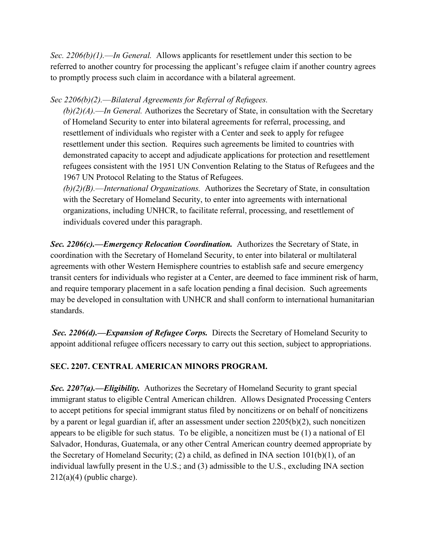*Sec. 2206(b)(1).––In General.* Allows applicants for resettlement under this section to be referred to another country for processing the applicant's refugee claim if another country agrees to promptly process such claim in accordance with a bilateral agreement.

### *Sec 2206(b)(2).––Bilateral Agreements for Referral of Refugees.*

*(b)(2)(A).––In General.* Authorizes the Secretary of State, in consultation with the Secretary of Homeland Security to enter into bilateral agreements for referral, processing, and resettlement of individuals who register with a Center and seek to apply for refugee resettlement under this section. Requires such agreements be limited to countries with demonstrated capacity to accept and adjudicate applications for protection and resettlement refugees consistent with the 1951 UN Convention Relating to the Status of Refugees and the 1967 UN Protocol Relating to the Status of Refugees.

*(b)(2)(B).––International Organizations.* Authorizes the Secretary of State, in consultation with the Secretary of Homeland Security, to enter into agreements with international organizations, including UNHCR, to facilitate referral, processing, and resettlement of individuals covered under this paragraph.

*Sec. 2206(c).––Emergency Relocation Coordination.* Authorizes the Secretary of State, in coordination with the Secretary of Homeland Security, to enter into bilateral or multilateral agreements with other Western Hemisphere countries to establish safe and secure emergency transit centers for individuals who register at a Center, are deemed to face imminent risk of harm, and require temporary placement in a safe location pending a final decision. Such agreements may be developed in consultation with UNHCR and shall conform to international humanitarian standards.

*Sec. 2206(d).––Expansion of Refugee Corps.* Directs the Secretary of Homeland Security to appoint additional refugee officers necessary to carry out this section, subject to appropriations.

### **SEC. 2207. CENTRAL AMERICAN MINORS PROGRAM.**

*Sec. 2207(a).––Eligibility.* Authorizes the Secretary of Homeland Security to grant special immigrant status to eligible Central American children. Allows Designated Processing Centers to accept petitions for special immigrant status filed by noncitizens or on behalf of noncitizens by a parent or legal guardian if, after an assessment under section 2205(b)(2), such noncitizen appears to be eligible for such status. To be eligible, a noncitizen must be (1) a national of El Salvador, Honduras, Guatemala, or any other Central American country deemed appropriate by the Secretary of Homeland Security; (2) a child, as defined in INA section 101(b)(1), of an individual lawfully present in the U.S.; and (3) admissible to the U.S., excluding INA section  $212(a)(4)$  (public charge).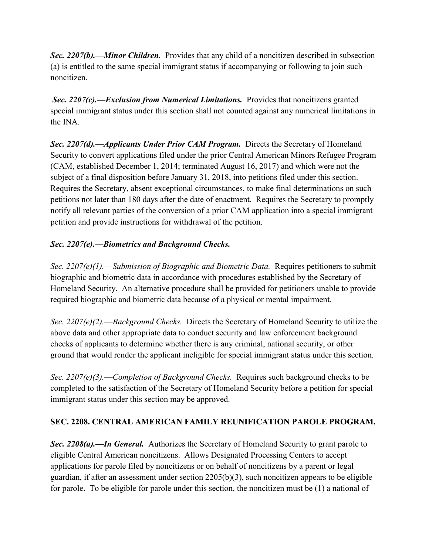*Sec. 2207(b).––Minor Children.* Provides that any child of a noncitizen described in subsection (a) is entitled to the same special immigrant status if accompanying or following to join such noncitizen.

*Sec. 2207(c).––Exclusion from Numerical Limitations.* Provides that noncitizens granted special immigrant status under this section shall not counted against any numerical limitations in the INA.

*Sec. 2207(d).––Applicants Under Prior CAM Program.* Directs the Secretary of Homeland Security to convert applications filed under the prior Central American Minors Refugee Program (CAM, established December 1, 2014; terminated August 16, 2017) and which were not the subject of a final disposition before January 31, 2018, into petitions filed under this section. Requires the Secretary, absent exceptional circumstances, to make final determinations on such petitions not later than 180 days after the date of enactment. Requires the Secretary to promptly notify all relevant parties of the conversion of a prior CAM application into a special immigrant petition and provide instructions for withdrawal of the petition.

### *Sec. 2207(e).––Biometrics and Background Checks.*

*Sec. 2207(e)(1).––Submission of Biographic and Biometric Data.* Requires petitioners to submit biographic and biometric data in accordance with procedures established by the Secretary of Homeland Security. An alternative procedure shall be provided for petitioners unable to provide required biographic and biometric data because of a physical or mental impairment.

*Sec. 2207(e)(2).––Background Checks.* Directs the Secretary of Homeland Security to utilize the above data and other appropriate data to conduct security and law enforcement background checks of applicants to determine whether there is any criminal, national security, or other ground that would render the applicant ineligible for special immigrant status under this section.

*Sec. 2207(e)(3).––Completion of Background Checks.* Requires such background checks to be completed to the satisfaction of the Secretary of Homeland Security before a petition for special immigrant status under this section may be approved.

### **SEC. 2208. CENTRAL AMERICAN FAMILY REUNIFICATION PAROLE PROGRAM.**

*Sec. 2208(a).––In General.* Authorizes the Secretary of Homeland Security to grant parole to eligible Central American noncitizens. Allows Designated Processing Centers to accept applications for parole filed by noncitizens or on behalf of noncitizens by a parent or legal guardian, if after an assessment under section 2205(b)(3), such noncitizen appears to be eligible for parole. To be eligible for parole under this section, the noncitizen must be (1) a national of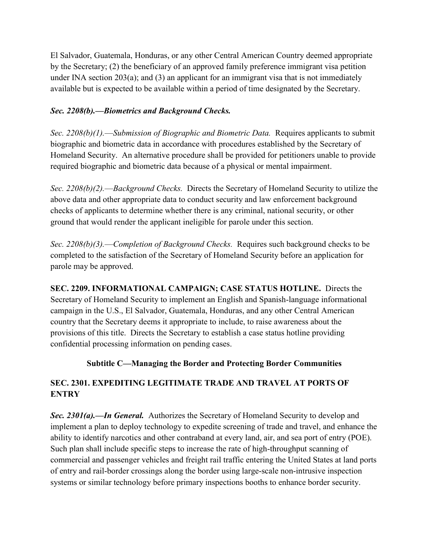El Salvador, Guatemala, Honduras, or any other Central American Country deemed appropriate by the Secretary; (2) the beneficiary of an approved family preference immigrant visa petition under INA section  $203(a)$ ; and  $(3)$  an applicant for an immigrant visa that is not immediately available but is expected to be available within a period of time designated by the Secretary.

### *Sec. 2208(b).––Biometrics and Background Checks.*

*Sec. 2208(b)(1).––Submission of Biographic and Biometric Data.* Requires applicants to submit biographic and biometric data in accordance with procedures established by the Secretary of Homeland Security. An alternative procedure shall be provided for petitioners unable to provide required biographic and biometric data because of a physical or mental impairment.

*Sec. 2208(b)(2).––Background Checks.* Directs the Secretary of Homeland Security to utilize the above data and other appropriate data to conduct security and law enforcement background checks of applicants to determine whether there is any criminal, national security, or other ground that would render the applicant ineligible for parole under this section.

*Sec. 2208(b)(3).––Completion of Background Checks.* Requires such background checks to be completed to the satisfaction of the Secretary of Homeland Security before an application for parole may be approved.

**SEC. 2209. INFORMATIONAL CAMPAIGN; CASE STATUS HOTLINE.**Directs the Secretary of Homeland Security to implement an English and Spanish-language informational campaign in the U.S., El Salvador, Guatemala, Honduras, and any other Central American country that the Secretary deems it appropriate to include, to raise awareness about the provisions of this title. Directs the Secretary to establish a case status hotline providing confidential processing information on pending cases.

### **Subtitle C—Managing the Border and Protecting Border Communities**

# **SEC. 2301. EXPEDITING LEGITIMATE TRADE AND TRAVEL AT PORTS OF ENTRY**

*Sec. 2301(a).––In General.* Authorizes the Secretary of Homeland Security to develop and implement a plan to deploy technology to expedite screening of trade and travel, and enhance the ability to identify narcotics and other contraband at every land, air, and sea port of entry (POE). Such plan shall include specific steps to increase the rate of high-throughput scanning of commercial and passenger vehicles and freight rail traffic entering the United States at land ports of entry and rail-border crossings along the border using large-scale non-intrusive inspection systems or similar technology before primary inspections booths to enhance border security.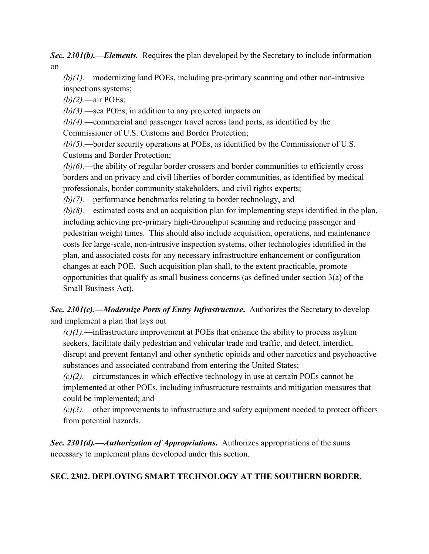*Sec. 2301(b).––Elements.* Requires the plan developed by the Secretary to include information on

*(b)(1).––*modernizing land POEs, including pre-primary scanning and other non-intrusive inspections systems;

*(b)(2).––*air POEs;

*(b)(3).––*sea POEs; in addition to any projected impacts on

*(b)(4).––*commercial and passenger travel across land ports, as identified by the Commissioner of U.S. Customs and Border Protection;

*(b)(5).––*border security operations at POEs, as identified by the Commissioner of U.S. Customs and Border Protection;

*(b)(6).––*the ability of regular border crossers and border communities to efficiently cross borders and on privacy and civil liberties of border communities, as identified by medical professionals, border community stakeholders, and civil rights experts;

*(b)(7).––*performance benchmarks relating to border technology, and

*(b)(8).––*estimated costs and an acquisition plan for implementing steps identified in the plan, including achieving pre-primary high-throughput scanning and reducing passenger and pedestrian weight times. This should also include acquisition, operations, and maintenance costs for large-scale, non-intrusive inspection systems, other technologies identified in the plan, and associated costs for any necessary infrastructure enhancement or configuration changes at each POE. Such acquisition plan shall, to the extent practicable, promote opportunities that qualify as small business concerns (as defined under section 3(a) of the Small Business Act).

# *Sec. 2301(c).––Modernize Ports of Entry Infrastructure***.** Authorizes the Secretary to develop and implement a plan that lays out

*(c)(1).––*infrastructure improvement at POEs that enhance the ability to process asylum seekers, facilitate daily pedestrian and vehicular trade and traffic, and detect, interdict, disrupt and prevent fentanyl and other synthetic opioids and other narcotics and psychoactive substances and associated contraband from entering the United States;

*(c)(2).––*circumstances in which effective technology in use at certain POEs cannot be implemented at other POEs, including infrastructure restraints and mitigation measures that could be implemented; and

*(c)(3).––*other improvements to infrastructure and safety equipment needed to protect officers from potential hazards.

*Sec. 2301(d).––Authorization of Appropriations***.** Authorizes appropriations of the sums necessary to implement plans developed under this section.

# **SEC. 2302. DEPLOYING SMART TECHNOLOGY AT THE SOUTHERN BORDER.**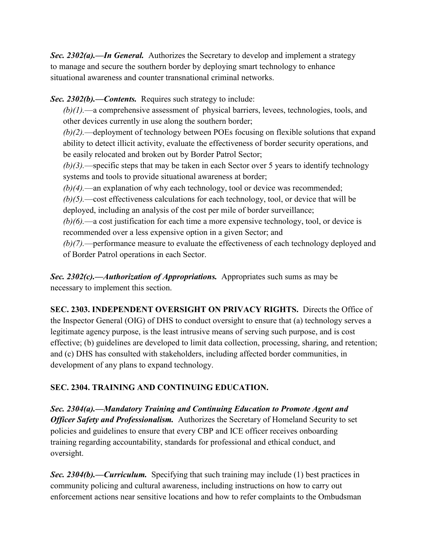*Sec. 2302(a).––In General.* Authorizes the Secretary to develop and implement a strategy to manage and secure the southern border by deploying smart technology to enhance situational awareness and counter transnational criminal networks.

*Sec. 2302(b).––Contents.*Requires such strategy to include:

*(b)(1).––*a comprehensive assessment of physical barriers, levees, technologies, tools, and other devices currently in use along the southern border;

*(b)(2).––*deployment of technology between POEs focusing on flexible solutions that expand ability to detect illicit activity, evaluate the effectiveness of border security operations, and be easily relocated and broken out by Border Patrol Sector;

*(b)(3).––*specific steps that may be taken in each Sector over 5 years to identify technology systems and tools to provide situational awareness at border;

*(b)(4).––*an explanation of why each technology, tool or device was recommended;

*(b)(5).––*cost effectiveness calculations for each technology, tool, or device that will be deployed, including an analysis of the cost per mile of border surveillance;

*(b)(6).––*a cost justification for each time a more expensive technology, tool, or device is recommended over a less expensive option in a given Sector; and

*(b)(7).––*performance measure to evaluate the effectiveness of each technology deployed and of Border Patrol operations in each Sector.

*Sec. 2302(c).––Authorization of Appropriations.* Appropriates such sums as may be necessary to implement this section.

**SEC. 2303. INDEPENDENT OVERSIGHT ON PRIVACY RIGHTS.** Directs the Office of the Inspector General (OIG) of DHS to conduct oversight to ensure that (a) technology serves a legitimate agency purpose, is the least intrusive means of serving such purpose, and is cost effective; (b) guidelines are developed to limit data collection, processing, sharing, and retention; and (c) DHS has consulted with stakeholders, including affected border communities, in development of any plans to expand technology.

# **SEC. 2304. TRAINING AND CONTINUING EDUCATION.**

*Sec. 2304(a).––Mandatory Training and Continuing Education to Promote Agent and Officer Safety and Professionalism.* Authorizes the Secretary of Homeland Security to set policies and guidelines to ensure that every CBP and ICE officer receives onboarding training regarding accountability, standards for professional and ethical conduct, and oversight.

*Sec. 2304(b).––Curriculum.* Specifying that such training may include (1) best practices in community policing and cultural awareness, including instructions on how to carry out enforcement actions near sensitive locations and how to refer complaints to the Ombudsman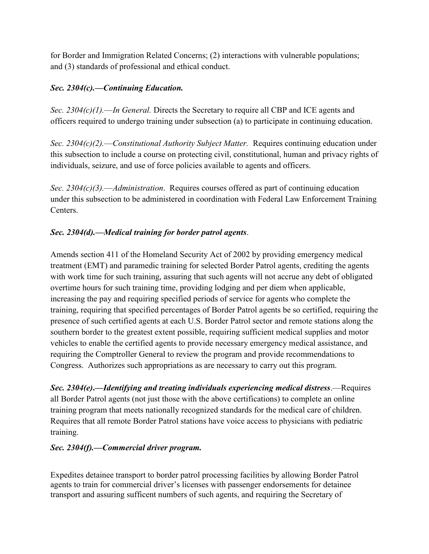for Border and Immigration Related Concerns; (2) interactions with vulnerable populations; and (3) standards of professional and ethical conduct.

### *Sec. 2304(c).––Continuing Education.*

*Sec. 2304(c)(1).––In General.* Directs the Secretary to require all CBP and ICE agents and officers required to undergo training under subsection (a) to participate in continuing education.

*Sec. 2304(c)(2).––Constitutional Authority Subject Matter.* Requires continuing education under this subsection to include a course on protecting civil, constitutional, human and privacy rights of individuals, seizure, and use of force policies available to agents and officers.

*Sec. 2304(c)(3).––Administration*. Requires courses offered as part of continuing education under this subsection to be administered in coordination with Federal Law Enforcement Training Centers.

### *Sec. 2304(d).––Medical training for border patrol agents*.

Amends section 411 of the Homeland Security Act of 2002 by providing emergency medical treatment (EMT) and paramedic training for selected Border Patrol agents, crediting the agents with work time for such training, assuring that such agents will not accrue any debt of obligated overtime hours for such training time, providing lodging and per diem when applicable, increasing the pay and requiring specified periods of service for agents who complete the training, requiring that specified percentages of Border Patrol agents be so certified, requiring the presence of such certified agents at each U.S. Border Patrol sector and remote stations along the southern border to the greatest extent possible, requiring sufficient medical supplies and motor vehicles to enable the certified agents to provide necessary emergency medical assistance, and requiring the Comptroller General to review the program and provide recommendations to Congress. Authorizes such appropriations as are necessary to carry out this program.

*Sec. 2304(e)*.—*Identifying and treating individuals experiencing medical distress.*—Requires all Border Patrol agents (not just those with the above certifications) to complete an online training program that meets nationally recognized standards for the medical care of children. Requires that all remote Border Patrol stations have voice access to physicians with pediatric training.

### *Sec. 2304(f).—Commercial driver program.*

Expedites detainee transport to border patrol processing facilities by allowing Border Patrol agents to train for commercial driver's licenses with passenger endorsements for detainee transport and assuring sufficent numbers of such agents, and requiring the Secretary of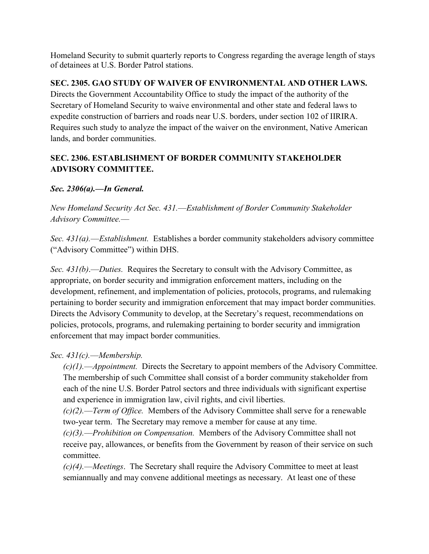Homeland Security to submit quarterly reports to Congress regarding the average length of stays of detainees at U.S. Border Patrol stations.

### **SEC. 2305. GAO STUDY OF WAIVER OF ENVIRONMENTAL AND OTHER LAWS.**

Directs the Government Accountability Office to study the impact of the authority of the Secretary of Homeland Security to waive environmental and other state and federal laws to expedite construction of barriers and roads near U.S. borders, under section 102 of IIRIRA. Requires such study to analyze the impact of the waiver on the environment, Native American lands, and border communities.

# **SEC. 2306. ESTABLISHMENT OF BORDER COMMUNITY STAKEHOLDER ADVISORY COMMITTEE.**

# *Sec. 2306(a).––In General.*

*New Homeland Security Act Sec. 431.––Establishment of Border Community Stakeholder Advisory Committee.*––

*Sec. 431(a).––Establishment.* Establishes a border community stakeholders advisory committee ("Advisory Committee") within DHS.

*Sec. 431(b)*.––*Duties.* Requires the Secretary to consult with the Advisory Committee, as appropriate, on border security and immigration enforcement matters, including on the development, refinement, and implementation of policies, protocols, programs, and rulemaking pertaining to border security and immigration enforcement that may impact border communities. Directs the Advisory Community to develop, at the Secretary's request, recommendations on policies, protocols, programs, and rulemaking pertaining to border security and immigration enforcement that may impact border communities.

# *Sec. 431(c).––Membership.*

*(c)(1).––Appointment.* Directs the Secretary to appoint members of the Advisory Committee. The membership of such Committee shall consist of a border community stakeholder from each of the nine U.S. Border Patrol sectors and three individuals with significant expertise and experience in immigration law, civil rights, and civil liberties.

*(c)(2).––Term of Office.* Members of the Advisory Committee shall serve for a renewable two-year term. The Secretary may remove a member for cause at any time.

*(c)(3).––Prohibition on Compensation.* Members of the Advisory Committee shall not receive pay, allowances, or benefits from the Government by reason of their service on such committee.

*(c)(4).–*–*Meetings*. The Secretary shall require the Advisory Committee to meet at least semiannually and may convene additional meetings as necessary. At least one of these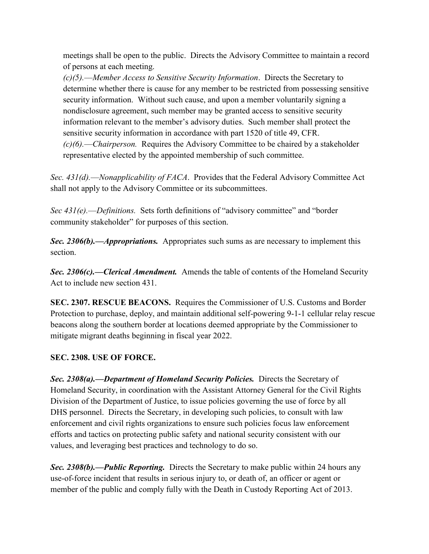meetings shall be open to the public. Directs the Advisory Committee to maintain a record of persons at each meeting.

*(c)(5).––Member Access to Sensitive Security Information*. Directs the Secretary to determine whether there is cause for any member to be restricted from possessing sensitive security information. Without such cause, and upon a member voluntarily signing a nondisclosure agreement, such member may be granted access to sensitive security information relevant to the member's advisory duties. Such member shall protect the sensitive security information in accordance with part 1520 of title 49, CFR. *(c)(6).––Chairperson.* Requires the Advisory Committee to be chaired by a stakeholder representative elected by the appointed membership of such committee.

*Sec. 431(d).––Nonapplicability of FACA*. Provides that the Federal Advisory Committee Act shall not apply to the Advisory Committee or its subcommittees.

*Sec 431(e).—Definitions.* Sets forth definitions of "advisory committee" and "border community stakeholder" for purposes of this section.

*Sec. 2306(b).––Appropriations.* Appropriates such sums as are necessary to implement this section.

*Sec. 2306(c).––Clerical Amendment.* Amends the table of contents of the Homeland Security Act to include new section 431.

**SEC. 2307. RESCUE BEACONS.** Requires the Commissioner of U.S. Customs and Border Protection to purchase, deploy, and maintain additional self-powering 9-1-1 cellular relay rescue beacons along the southern border at locations deemed appropriate by the Commissioner to mitigate migrant deaths beginning in fiscal year 2022.

### **SEC. 2308. USE OF FORCE.**

*Sec. 2308(a).––Department of Homeland Security Policies.* Directs the Secretary of Homeland Security, in coordination with the Assistant Attorney General for the Civil Rights Division of the Department of Justice, to issue policies governing the use of force by all DHS personnel. Directs the Secretary, in developing such policies, to consult with law enforcement and civil rights organizations to ensure such policies focus law enforcement efforts and tactics on protecting public safety and national security consistent with our values, and leveraging best practices and technology to do so.

*Sec. 2308(b).––Public Reporting.* Directs the Secretary to make public within 24 hours any use-of-force incident that results in serious injury to, or death of, an officer or agent or member of the public and comply fully with the Death in Custody Reporting Act of 2013.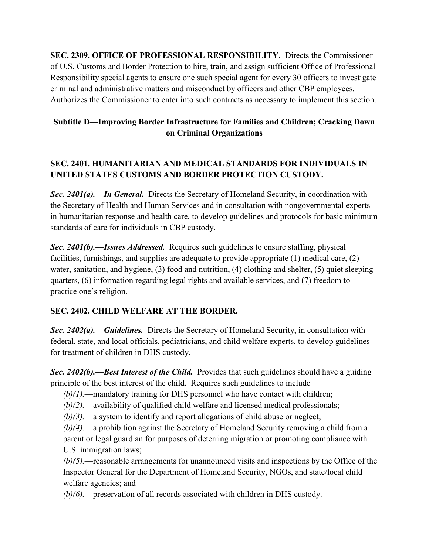**SEC. 2309. OFFICE OF PROFESSIONAL RESPONSIBILITY.** Directs the Commissioner of U.S. Customs and Border Protection to hire, train, and assign sufficient Office of Professional Responsibility special agents to ensure one such special agent for every 30 officers to investigate criminal and administrative matters and misconduct by officers and other CBP employees. Authorizes the Commissioner to enter into such contracts as necessary to implement this section.

# **Subtitle D—Improving Border Infrastructure for Families and Children; Cracking Down on Criminal Organizations**

# **SEC. 2401. HUMANITARIAN AND MEDICAL STANDARDS FOR INDIVIDUALS IN UNITED STATES CUSTOMS AND BORDER PROTECTION CUSTODY.**

*Sec. 2401(a).––In General.* Directs the Secretary of Homeland Security, in coordination with the Secretary of Health and Human Services and in consultation with nongovernmental experts in humanitarian response and health care, to develop guidelines and protocols for basic minimum standards of care for individuals in CBP custody.

*Sec. 2401(b).––Issues Addressed.* Requires such guidelines to ensure staffing, physical facilities, furnishings, and supplies are adequate to provide appropriate (1) medical care, (2) water, sanitation, and hygiene, (3) food and nutrition, (4) clothing and shelter, (5) quiet sleeping quarters, (6) information regarding legal rights and available services, and (7) freedom to practice one's religion.

### **SEC. 2402. CHILD WELFARE AT THE BORDER.**

*Sec. 2402(a).––Guidelines.* Directs the Secretary of Homeland Security, in consultation with federal, state, and local officials, pediatricians, and child welfare experts, to develop guidelines for treatment of children in DHS custody.

*Sec. 2402(b).––Best Interest of the Child.* Provides that such guidelines should have a guiding principle of the best interest of the child. Requires such guidelines to include

*(b)(1).––*mandatory training for DHS personnel who have contact with children;

*(b)(2).––*availability of qualified child welfare and licensed medical professionals;

*(b)(3).––*a system to identify and report allegations of child abuse or neglect;

*(b)(4).––*a prohibition against the Secretary of Homeland Security removing a child from a parent or legal guardian for purposes of deterring migration or promoting compliance with U.S. immigration laws;

*(b)(5).––*reasonable arrangements for unannounced visits and inspections by the Office of the Inspector General for the Department of Homeland Security, NGOs, and state/local child welfare agencies; and

*(b)(6).––*preservation of all records associated with children in DHS custody.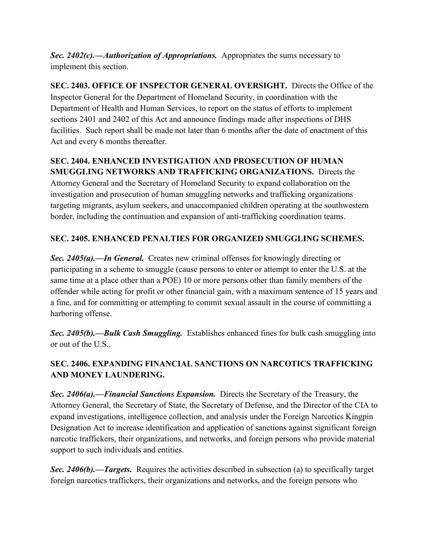*Sec. 2402(c).––Authorization of Appropriations.* Appropriates the sums necessary to implement this section.

**SEC. 2403. OFFICE OF INSPECTOR GENERAL OVERSIGHT.** Directs the Office of the Inspector General for the Department of Homeland Security, in coordination with the Department of Health and Human Services, to report on the status of efforts to implement sections 2401 and 2402 of this Act and announce findings made after inspections of DHS facilities. Such report shall be made not later than 6 months after the date of enactment of this Act and every 6 months thereafter.

# **SEC. 2404. ENHANCED INVESTIGATION AND PROSECUTION OF HUMAN**

**SMUGGLING NETWORKS AND TRAFFICKING ORGANIZATIONS.** Directs the Attorney General and the Secretary of Homeland Security to expand collaboration on the investigation and prosecution of human smuggling networks and trafficking organizations targeting migrants, asylum seekers, and unaccompanied children operating at the southwestern border, including the continuation and expansion of anti-trafficking coordination teams.

### **SEC. 2405. ENHANCED PENALTIES FOR ORGANIZED SMUGGLING SCHEMES.**

*Sec. 2405(a).––In General.* Creates new criminal offenses for knowingly directing or participating in a scheme to smuggle (cause persons to enter or attempt to enter the U.S. at the same time at a place other than a POE) 10 or more persons other than family members of the offender while acting for profit or other financial gain, with a maximum sentence of 15 years and a fine, and for committing or attempting to commit sexual assault in the course of committing a harboring offense.

*Sec. 2405(b).––Bulk Cash Smuggling.* Establishes enhanced fines for bulk cash smuggling into or out of the U.S..

# **SEC. 2406. EXPANDING FINANCIAL SANCTIONS ON NARCOTICS TRAFFICKING AND MONEY LAUNDERING.**

*Sec. 2406(a).––Financial Sanctions Expansion.* Directs the Secretary of the Treasury, the Attorney General, the Secretary of State, the Secretary of Defense, and the Director of the CIA to expand investigations, intelligence collection, and analysis under the Foreign Narcotics Kingpin Designation Act to increase identification and application of sanctions against significant foreign narcotic traffickers, their organizations, and networks, and foreign persons who provide material support to such individuals and entities.

*Sec. 2406(b).––Targets.* Requires the activities described in subsection (a) to specifically target foreign narcotics traffickers, their organizations and networks, and the foreign persons who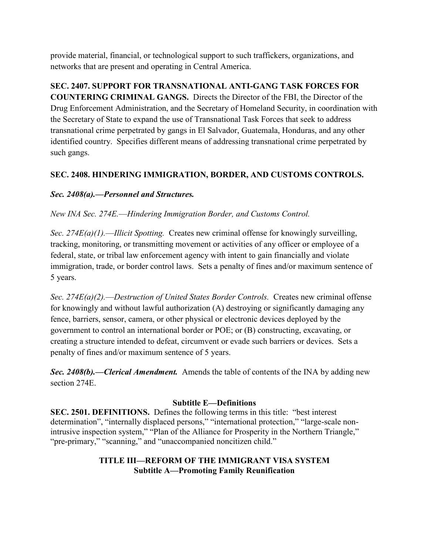provide material, financial, or technological support to such traffickers, organizations, and networks that are present and operating in Central America.

# **SEC. 2407. SUPPORT FOR TRANSNATIONAL ANTI-GANG TASK FORCES FOR COUNTERING CRIMINAL GANGS.** Directs the Director of the FBI, the Director of the Drug Enforcement Administration, and the Secretary of Homeland Security, in coordination with

the Secretary of State to expand the use of Transnational Task Forces that seek to address transnational crime perpetrated by gangs in El Salvador, Guatemala, Honduras, and any other identified country. Specifies different means of addressing transnational crime perpetrated by such gangs.

# **SEC. 2408. HINDERING IMMIGRATION, BORDER, AND CUSTOMS CONTROLS.**

# *Sec. 2408(a).––Personnel and Structures.*

# *New INA Sec. 274E.––Hindering Immigration Border, and Customs Control.*

*Sec. 274E(a)(1).––Illicit Spotting.* Creates new criminal offense for knowingly surveilling, tracking, monitoring, or transmitting movement or activities of any officer or employee of a federal, state, or tribal law enforcement agency with intent to gain financially and violate immigration, trade, or border control laws. Sets a penalty of fines and/or maximum sentence of 5 years.

*Sec. 274E(a)(2).––Destruction of United States Border Controls.* Creates new criminal offense for knowingly and without lawful authorization (A) destroying or significantly damaging any fence, barriers, sensor, camera, or other physical or electronic devices deployed by the government to control an international border or POE; or (B) constructing, excavating, or creating a structure intended to defeat, circumvent or evade such barriers or devices. Sets a penalty of fines and/or maximum sentence of 5 years.

*Sec. 2408(b).––Clerical Amendment.* Amends the table of contents of the INA by adding new section 274E.

### **Subtitle E—Definitions**

**SEC. 2501. DEFINITIONS.** Defines the following terms in this title: "best interest" determination", "internally displaced persons," "international protection," "large-scale nonintrusive inspection system," "Plan of the Alliance for Prosperity in the Northern Triangle," "pre-primary," "scanning," and "unaccompanied noncitizen child."

### **TITLE III—REFORM OF THE IMMIGRANT VISA SYSTEM Subtitle A—Promoting Family Reunification**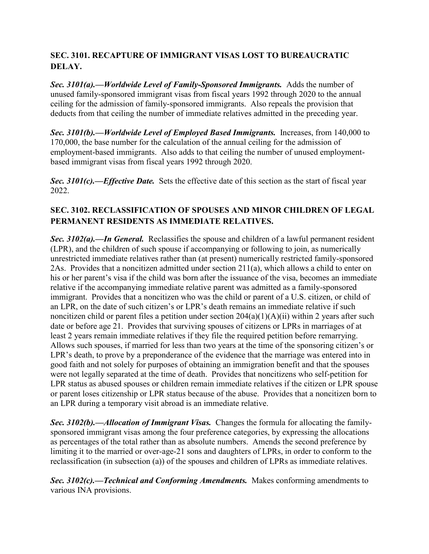### **SEC. 3101. RECAPTURE OF IMMIGRANT VISAS LOST TO BUREAUCRATIC DELAY.**

*Sec. 3101(a).––Worldwide Level of Family-Sponsored Immigrants.* Adds the number of unused family-sponsored immigrant visas from fiscal years 1992 through 2020 to the annual ceiling for the admission of family-sponsored immigrants. Also repeals the provision that deducts from that ceiling the number of immediate relatives admitted in the preceding year.

*Sec. 3101(b).––Worldwide Level of Employed Based Immigrants.* Increases, from 140,000 to 170,000, the base number for the calculation of the annual ceiling for the admission of employment-based immigrants. Also adds to that ceiling the number of unused employmentbased immigrant visas from fiscal years 1992 through 2020.

*Sec. 3101(c).––Effective Date.* Sets the effective date of this section as the start of fiscal year 2022.

### **SEC. 3102. RECLASSIFICATION OF SPOUSES AND MINOR CHILDREN OF LEGAL PERMANENT RESIDENTS AS IMMEDIATE RELATIVES.**

*Sec. 3102(a).––In General.* Reclassifies the spouse and children of a lawful permanent resident (LPR), and the children of such spouse if accompanying or following to join, as numerically unrestricted immediate relatives rather than (at present) numerically restricted family-sponsored 2As. Provides that a noncitizen admitted under section 211(a), which allows a child to enter on his or her parent's visa if the child was born after the issuance of the visa, becomes an immediate relative if the accompanying immediate relative parent was admitted as a family-sponsored immigrant. Provides that a noncitizen who was the child or parent of a U.S. citizen, or child of an LPR, on the date of such citizen's or LPR's death remains an immediate relative if such noncitizen child or parent files a petition under section 204(a)(1)(A)(ii) within 2 years after such date or before age 21. Provides that surviving spouses of citizens or LPRs in marriages of at least 2 years remain immediate relatives if they file the required petition before remarrying. Allows such spouses, if married for less than two years at the time of the sponsoring citizen's or LPR's death, to prove by a preponderance of the evidence that the marriage was entered into in good faith and not solely for purposes of obtaining an immigration benefit and that the spouses were not legally separated at the time of death. Provides that noncitizens who self-petition for LPR status as abused spouses or children remain immediate relatives if the citizen or LPR spouse or parent loses citizenship or LPR status because of the abuse. Provides that a noncitizen born to an LPR during a temporary visit abroad is an immediate relative.

*Sec. 3102(b).––Allocation of Immigrant Visas.* Changes the formula for allocating the familysponsored immigrant visas among the four preference categories, by expressing the allocations as percentages of the total rather than as absolute numbers. Amends the second preference by limiting it to the married or over-age-21 sons and daughters of LPRs, in order to conform to the reclassification (in subsection (a)) of the spouses and children of LPRs as immediate relatives.

*Sec. 3102(c).––Technical and Conforming Amendments.* Makes conforming amendments to various INA provisions.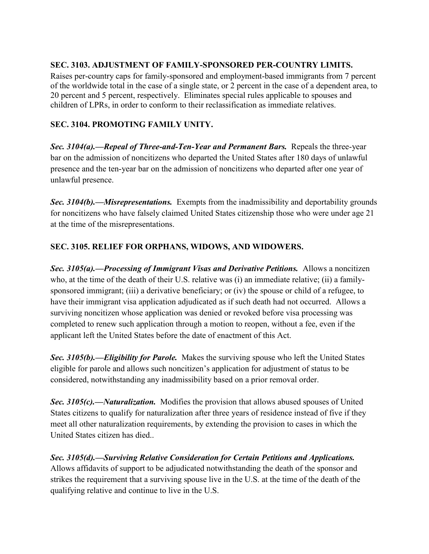### **SEC. 3103. ADJUSTMENT OF FAMILY-SPONSORED PER-COUNTRY LIMITS.**

Raises per-country caps for family-sponsored and employment-based immigrants from 7 percent of the worldwide total in the case of a single state, or 2 percent in the case of a dependent area, to 20 percent and 5 percent, respectively. Eliminates special rules applicable to spouses and children of LPRs, in order to conform to their reclassification as immediate relatives.

### **SEC. 3104. PROMOTING FAMILY UNITY.**

*Sec. 3104(a).––Repeal of Three-and-Ten-Year and Permanent Bars.* Repeals the three-year bar on the admission of noncitizens who departed the United States after 180 days of unlawful presence and the ten-year bar on the admission of noncitizens who departed after one year of unlawful presence.

*Sec. 3104(b).––Misrepresentations.* Exempts from the inadmissibility and deportability grounds for noncitizens who have falsely claimed United States citizenship those who were under age 21 at the time of the misrepresentations.

### **SEC. 3105. RELIEF FOR ORPHANS, WIDOWS, AND WIDOWERS.**

*Sec. 3105(a).––Processing of Immigrant Visas and Derivative Petitions.* Allows a noncitizen who, at the time of the death of their U.S. relative was (i) an immediate relative; (ii) a familysponsored immigrant; (iii) a derivative beneficiary; or (iv) the spouse or child of a refugee, to have their immigrant visa application adjudicated as if such death had not occurred. Allows a surviving noncitizen whose application was denied or revoked before visa processing was completed to renew such application through a motion to reopen, without a fee, even if the applicant left the United States before the date of enactment of this Act.

*Sec. 3105(b).––Eligibility for Parole.* Makes the surviving spouse who left the United States eligible for parole and allows such noncitizen's application for adjustment of status to be considered, notwithstanding any inadmissibility based on a prior removal order.

*Sec. 3105(c).––Naturalization.* Modifies the provision that allows abused spouses of United States citizens to qualify for naturalization after three years of residence instead of five if they meet all other naturalization requirements, by extending the provision to cases in which the United States citizen has died..

*Sec. 3105(d).––Surviving Relative Consideration for Certain Petitions and Applications.* Allows affidavits of support to be adjudicated notwithstanding the death of the sponsor and strikes the requirement that a surviving spouse live in the U.S. at the time of the death of the qualifying relative and continue to live in the U.S.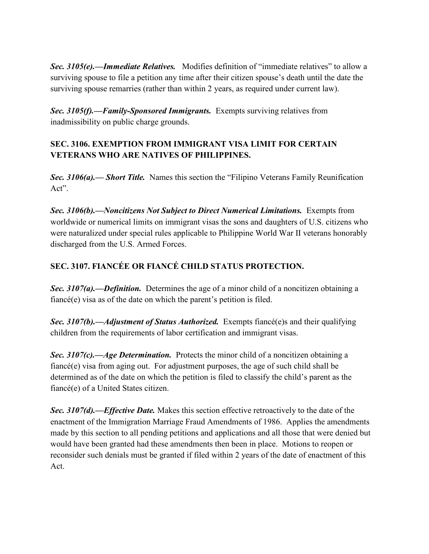**Sec. 3105(e).—***Immediate Relatives*. Modifies definition of "immediate relatives" to allow a surviving spouse to file a petition any time after their citizen spouse's death until the date the surviving spouse remarries (rather than within 2 years, as required under current law).

*Sec. 3105(f).––Family-Sponsored Immigrants.* Exempts surviving relatives from inadmissibility on public charge grounds.

# **SEC. 3106. EXEMPTION FROM IMMIGRANT VISA LIMIT FOR CERTAIN VETERANS WHO ARE NATIVES OF PHILIPPINES.**

**Sec. 3106(a).**—**Short Title.** Names this section the "Filipino Veterans Family Reunification Act".

*Sec. 3106(b).––Noncitizens Not Subject to Direct Numerical Limitations.* Exempts from worldwide or numerical limits on immigrant visas the sons and daughters of U.S. citizens who were naturalized under special rules applicable to Philippine World War II veterans honorably discharged from the U.S. Armed Forces.

# **SEC. 3107. FIANCÉE OR FIANCÉ CHILD STATUS PROTECTION.**

*Sec. 3107(a).––Definition.* Determines the age of a minor child of a noncitizen obtaining a fiancé(e) visa as of the date on which the parent's petition is filed.

*Sec. 3107(b).––Adjustment of Status Authorized.* Exempts fiancé(e)s and their qualifying children from the requirements of labor certification and immigrant visas.

*Sec. 3107(c).––Age Determination.* Protects the minor child of a noncitizen obtaining a fiancé(e) visa from aging out. For adjustment purposes, the age of such child shall be determined as of the date on which the petition is filed to classify the child's parent as the fiancé(e) of a United States citizen.

*Sec. 3107(d).––Effective Date.* Makes this section effective retroactively to the date of the enactment of the Immigration Marriage Fraud Amendments of 1986.Applies the amendments made by this section to all pending petitions and applications and all those that were denied but would have been granted had these amendments then been in place. Motions to reopen or reconsider such denials must be granted if filed within 2 years of the date of enactment of this Act.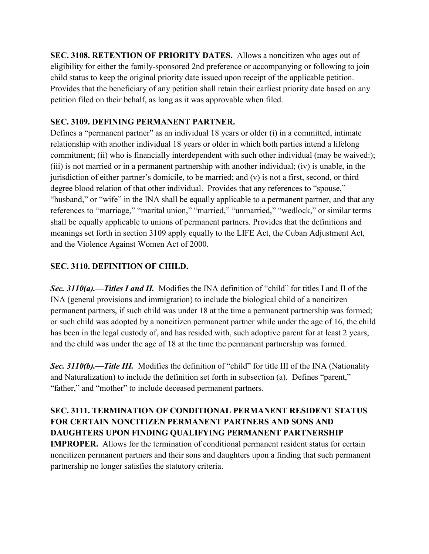**SEC. 3108. RETENTION OF PRIORITY DATES.** Allows a noncitizen who ages out of eligibility for either the family-sponsored 2nd preference or accompanying or following to join child status to keep the original priority date issued upon receipt of the applicable petition. Provides that the beneficiary of any petition shall retain their earliest priority date based on any petition filed on their behalf, as long as it was approvable when filed.

#### **SEC. 3109. DEFINING PERMANENT PARTNER.**

Defines a "permanent partner" as an individual  $18$  years or older (i) in a committed, intimate relationship with another individual 18 years or older in which both parties intend a lifelong commitment; (ii) who is financially interdependent with such other individual (may be waived:); (iii) is not married or in a permanent partnership with another individual; (iv) is unable, in the jurisdiction of either partner's domicile, to be married; and  $(v)$  is not a first, second, or third degree blood relation of that other individual. Provides that any references to "spouse," "husband," or "wife" in the INA shall be equally applicable to a permanent partner, and that any references to "marriage," "marital union," "married," "unmarried," "wedlock," or similar terms shall be equally applicable to unions of permanent partners. Provides that the definitions and meanings set forth in section 3109 apply equally to the LIFE Act, the Cuban Adjustment Act, and the Violence Against Women Act of 2000.

### **SEC. 3110. DEFINITION OF CHILD.**

**Sec.** 3110(a).—Titles I and II. Modifies the INA definition of "child" for titles I and II of the INA (general provisions and immigration) to include the biological child of a noncitizen permanent partners, if such child was under 18 at the time a permanent partnership was formed; or such child was adopted by a noncitizen permanent partner while under the age of 16, the child has been in the legal custody of, and has resided with, such adoptive parent for at least 2 years, and the child was under the age of 18 at the time the permanent partnership was formed.

**Sec. 3110(b).—Title III.** Modifies the definition of "child" for title III of the INA (Nationality and Naturalization) to include the definition set forth in subsection (a). Defines "parent," "father," and "mother" to include deceased permanent partners.

**SEC. 3111. TERMINATION OF CONDITIONAL PERMANENT RESIDENT STATUS FOR CERTAIN NONCITIZEN PERMANENT PARTNERS AND SONS AND DAUGHTERS UPON FINDING QUALIFYING PERMANENT PARTNERSHIP IMPROPER.** Allows for the termination of conditional permanent resident status for certain noncitizen permanent partners and their sons and daughters upon a finding that such permanent partnership no longer satisfies the statutory criteria.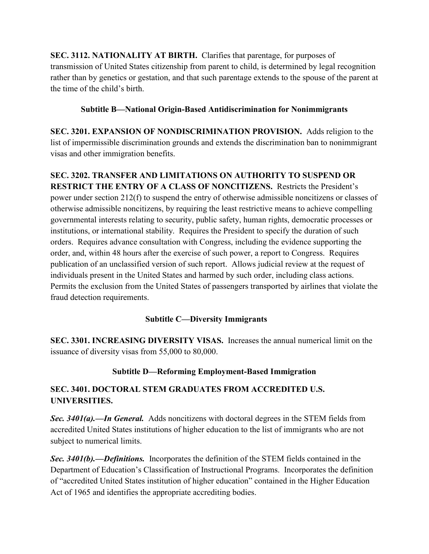**SEC. 3112. NATIONALITY AT BIRTH.** Clarifies that parentage, for purposes of transmission of United States citizenship from parent to child, is determined by legal recognition rather than by genetics or gestation, and that such parentage extends to the spouse of the parent at the time of the child's birth.

### **Subtitle B—National Origin-Based Antidiscrimination for Nonimmigrants**

**SEC. 3201. EXPANSION OF NONDISCRIMINATION PROVISION.** Adds religion to the list of impermissible discrimination grounds and extends the discrimination ban to nonimmigrant visas and other immigration benefits.

**SEC. 3202. TRANSFER AND LIMITATIONS ON AUTHORITY TO SUSPEND OR RESTRICT THE ENTRY OF A CLASS OF NONCITIZENS.** Restricts the President's power under section 212(f) to suspend the entry of otherwise admissible noncitizens or classes of otherwise admissible noncitizens, by requiring the least restrictive means to achieve compelling governmental interests relating to security, public safety, human rights, democratic processes or institutions, or international stability. Requires the President to specify the duration of such orders. Requires advance consultation with Congress, including the evidence supporting the order, and, within 48 hours after the exercise of such power, a report to Congress. Requires publication of an unclassified version of such report. Allows judicial review at the request of individuals present in the United States and harmed by such order, including class actions. Permits the exclusion from the United States of passengers transported by airlines that violate the fraud detection requirements.

# **Subtitle C—Diversity Immigrants**

**SEC. 3301. INCREASING DIVERSITY VISAS.** Increases the annual numerical limit on the issuance of diversity visas from 55,000 to 80,000.

# **Subtitle D—Reforming Employment-Based Immigration**

# **SEC. 3401. DOCTORAL STEM GRADUATES FROM ACCREDITED U.S. UNIVERSITIES.**

*Sec. 3401(a).––In General.* Adds noncitizens with doctoral degrees in the STEM fields from accredited United States institutions of higher education to the list of immigrants who are not subject to numerical limits.

*Sec. 3401(b).––Definitions.* Incorporates the definition of the STEM fields contained in the Department of Education's Classification of Instructional Programs. Incorporates the definition of "accredited United States institution of higher education" contained in the Higher Education Act of 1965 and identifies the appropriate accrediting bodies.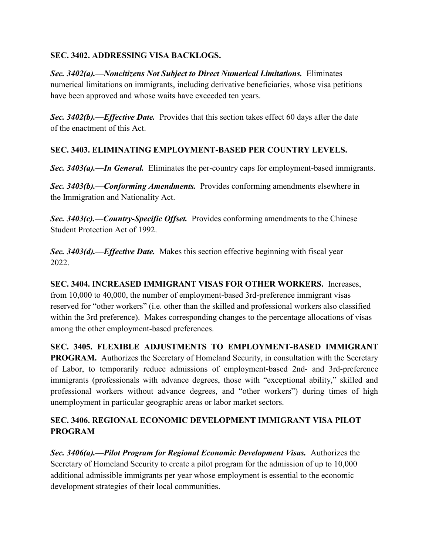#### **SEC. 3402. ADDRESSING VISA BACKLOGS.**

*Sec. 3402(a).––Noncitizens Not Subject to Direct Numerical Limitations.* Eliminates numerical limitations on immigrants, including derivative beneficiaries, whose visa petitions have been approved and whose waits have exceeded ten years.

*Sec. 3402(b).––Effective Date.* Provides that this section takes effect 60 days after the date of the enactment of this Act.

### **SEC. 3403. ELIMINATING EMPLOYMENT-BASED PER COUNTRY LEVELS.**

*Sec. 3403(a).––In General.* Eliminates the per-country caps for employment-based immigrants.

*Sec. 3403(b).––Conforming Amendments.* Provides conforming amendments elsewhere in the Immigration and Nationality Act.

*Sec. 3403(c).––Country-Specific Offset.* Provides conforming amendments to the Chinese Student Protection Act of 1992.

*Sec. 3403(d).––Effective Date.* Makes this section effective beginning with fiscal year 2022.

**SEC. 3404. INCREASED IMMIGRANT VISAS FOR OTHER WORKERS.** Increases, from 10,000 to 40,000, the number of employment-based 3rd-preference immigrant visas reserved for "other workers" (i.e. other than the skilled and professional workers also classified within the 3rd preference). Makes corresponding changes to the percentage allocations of visas among the other employment-based preferences.

**SEC. 3405. FLEXIBLE ADJUSTMENTS TO EMPLOYMENT-BASED IMMIGRANT PROGRAM.** Authorizes the Secretary of Homeland Security, in consultation with the Secretary of Labor, to temporarily reduce admissions of employment-based 2nd- and 3rd-preference immigrants (professionals with advance degrees, those with "exceptional ability," skilled and professional workers without advance degrees, and "other workers") during times of high unemployment in particular geographic areas or labor market sectors.

### **SEC. 3406. REGIONAL ECONOMIC DEVELOPMENT IMMIGRANT VISA PILOT PROGRAM**

*Sec. 3406(a).––Pilot Program for Regional Economic Development Visas.*Authorizes the Secretary of Homeland Security to create a pilot program for the admission of up to 10,000 additional admissible immigrants per year whose employment is essential to the economic development strategies of their local communities.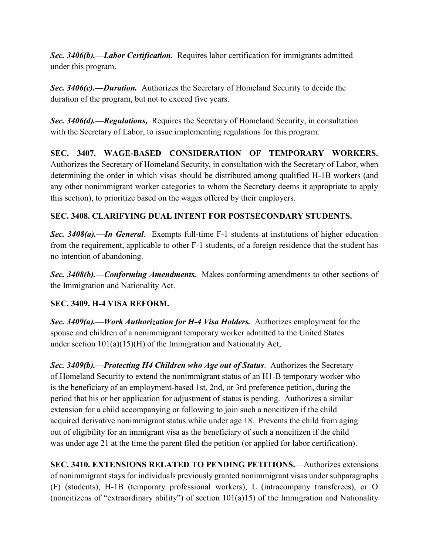*Sec. 3406(b).––Labor Certification.* Requires labor certification for immigrants admitted under this program.

*Sec. 3406(c).––Duration.* Authorizes the Secretary of Homeland Security to decide the duration of the program, but not to exceed five years.

*Sec. 3406(d).––Regulations,* Requires the Secretary of Homeland Security, in consultation with the Secretary of Labor, to issue implementing regulations for this program.

**SEC. 3407. WAGE-BASED CONSIDERATION OF TEMPORARY WORKERS.**  Authorizes the Secretary of Homeland Security, in consultation with the Secretary of Labor, when determining the order in which visas should be distributed among qualified H-1B workers (and any other nonimmigrant worker categories to whom the Secretary deems it appropriate to apply this section), to prioritize based on the wages offered by their employers.

### **SEC. 3408. CLARIFYING DUAL INTENT FOR POSTSECONDARY STUDENTS.**

*Sec. 3408(a).––In General*. Exempts full-time F-1 students at institutions of higher education from the requirement, applicable to other F-1 students, of a foreign residence that the student has no intention of abandoning.

*Sec. 3408(b).––Conforming Amendments.* Makes conforming amendments to other sections of the Immigration and Nationality Act.

### **SEC. 3409. H-4 VISA REFORM.**

*Sec. 3409(a).––Work Authorization for H-4 Visa Holders.* Authorizes employment for the spouse and children of a nonimmigrant temporary worker admitted to the United States under section 101(a)(15)(H) of the Immigration and Nationality Act,

*Sec. 3409(b).––Protecting H4 Children who Age out of Status*. Authorizes the Secretary of Homeland Security to extend the nonimmigrant status of an H1-B temporary worker who is the beneficiary of an employment-based 1st, 2nd, or 3rd preference petition, during the period that his or her application for adjustment of status is pending. Authorizes a similar extension for a child accompanying or following to join such a noncitizen if the child acquired derivative nonimmigrant status while under age 18. Prevents the child from aging out of eligibility for an immigrant visa as the beneficiary of such a noncitizen if the child was under age 21 at the time the parent filed the petition (or applied for labor certification).

**SEC. 3410. EXTENSIONS RELATED TO PENDING PETITIONS.—Authorizes extensions** of nonimmigrant stays for individuals previously granted nonimmigrant visas under subparagraphs (F) (students), H-1B (temporary professional workers), L (intracompany transferees), or O (noncitizens of "extraordinary ability") of section  $101(a)15$ ) of the Immigration and Nationality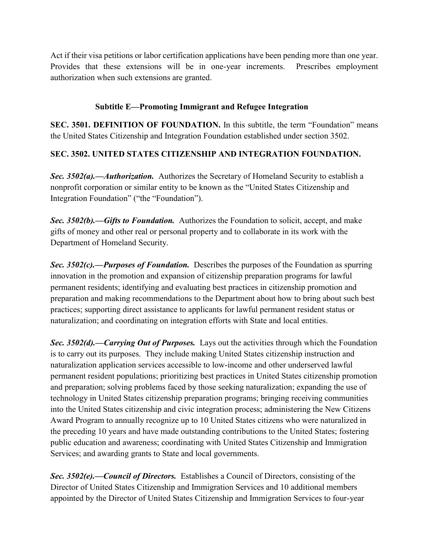Act if their visa petitions or labor certification applications have been pending more than one year. Provides that these extensions will be in one-year increments. Prescribes employment authorization when such extensions are granted.

### **Subtitle E—Promoting Immigrant and Refugee Integration**

**SEC. 3501. DEFINITION OF FOUNDATION.** In this subtitle, the term "Foundation" means the United States Citizenship and Integration Foundation established under section 3502.

### **SEC. 3502. UNITED STATES CITIZENSHIP AND INTEGRATION FOUNDATION.**

**Sec. 3502(a).—***Authorization*. Authorizes the Secretary of Homeland Security to establish a nonprofit corporation or similar entity to be known as the "United States Citizenship and Integration Foundation" ("the "Foundation").

*Sec. 3502(b).—Gifts to Foundation.* Authorizes the Foundation to solicit, accept, and make gifts of money and other real or personal property and to collaborate in its work with the Department of Homeland Security.

*Sec. 3502(c).—Purposes of Foundation.* Describes the purposes of the Foundation as spurring innovation in the promotion and expansion of citizenship preparation programs for lawful permanent residents; identifying and evaluating best practices in citizenship promotion and preparation and making recommendations to the Department about how to bring about such best practices; supporting direct assistance to applicants for lawful permanent resident status or naturalization; and coordinating on integration efforts with State and local entities.

*Sec. 3502(d).—Carrying Out of Purposes.* Lays out the activities through which the Foundation is to carry out its purposes. They include making United States citizenship instruction and naturalization application services accessible to low-income and other underserved lawful permanent resident populations; prioritizing best practices in United States citizenship promotion and preparation; solving problems faced by those seeking naturalization; expanding the use of technology in United States citizenship preparation programs; bringing receiving communities into the United States citizenship and civic integration process; administering the New Citizens Award Program to annually recognize up to 10 United States citizens who were naturalized in the preceding 10 years and have made outstanding contributions to the United States; fostering public education and awareness; coordinating with United States Citizenship and Immigration Services; and awarding grants to State and local governments.

*Sec. 3502(e).—Council of Directors.* Establishes a Council of Directors, consisting of the Director of United States Citizenship and Immigration Services and 10 additional members appointed by the Director of United States Citizenship and Immigration Services to four-year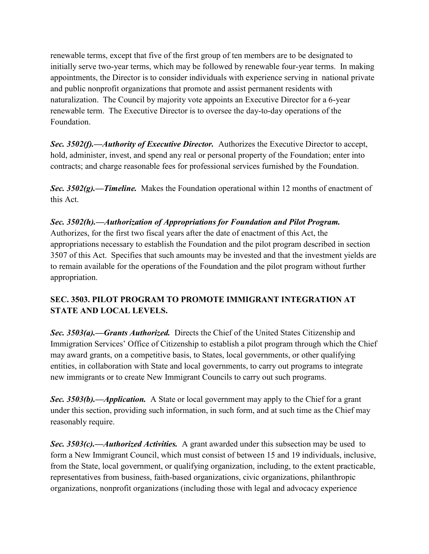renewable terms, except that five of the first group of ten members are to be designated to initially serve two-year terms, which may be followed by renewable four-year terms. In making appointments, the Director is to consider individuals with experience serving in national private and public nonprofit organizations that promote and assist permanent residents with naturalization. The Council by majority vote appoints an Executive Director for a 6-year renewable term. The Executive Director is to oversee the day-to-day operations of the Foundation.

*Sec. 3502(f).—Authority of Executive Director.* Authorizes the Executive Director to accept, hold, administer, invest, and spend any real or personal property of the Foundation; enter into contracts; and charge reasonable fees for professional services furnished by the Foundation.

*Sec. 3502(g).—Timeline.* Makes the Foundation operational within 12 months of enactment of this Act.

# *Sec. 3502(h).—Authorization of Appropriations for Foundation and Pilot Program.*

Authorizes, for the first two fiscal years after the date of enactment of this Act, the appropriations necessary to establish the Foundation and the pilot program described in section 3507 of this Act. Specifies that such amounts may be invested and that the investment yields are to remain available for the operations of the Foundation and the pilot program without further appropriation.

# **SEC. 3503. PILOT PROGRAM TO PROMOTE IMMIGRANT INTEGRATION AT STATE AND LOCAL LEVELS.**

*Sec. 3503(a).—Grants Authorized.* Directs the Chief of the United States Citizenship and Immigration Services' Office of Citizenship to establish a pilot program through which the Chief may award grants, on a competitive basis, to States, local governments, or other qualifying entities, in collaboration with State and local governments, to carry out programs to integrate new immigrants or to create New Immigrant Councils to carry out such programs.

*Sec. 3503(b).—Application.* A State or local government may apply to the Chief for a grant under this section, providing such information, in such form, and at such time as the Chief may reasonably require.

*Sec. 3503(c).—Authorized Activities.* A grant awarded under this subsection may be used to form a New Immigrant Council, which must consist of between 15 and 19 individuals, inclusive, from the State, local government, or qualifying organization, including, to the extent practicable, representatives from business, faith-based organizations, civic organizations, philanthropic organizations, nonprofit organizations (including those with legal and advocacy experience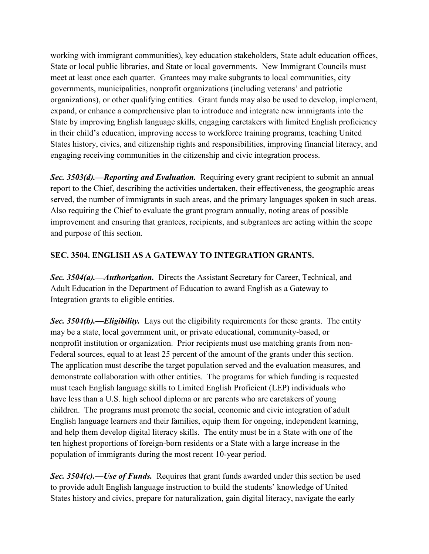working with immigrant communities), key education stakeholders, State adult education offices, State or local public libraries, and State or local governments. New Immigrant Councils must meet at least once each quarter. Grantees may make subgrants to local communities, city governments, municipalities, nonprofit organizations (including veterans' and patriotic organizations), or other qualifying entities. Grant funds may also be used to develop, implement, expand, or enhance a comprehensive plan to introduce and integrate new immigrants into the State by improving English language skills, engaging caretakers with limited English proficiency in their child's education, improving access to workforce training programs, teaching United States history, civics, and citizenship rights and responsibilities, improving financial literacy, and engaging receiving communities in the citizenship and civic integration process.

*Sec. 3503(d).—Reporting and Evaluation.* Requiring every grant recipient to submit an annual report to the Chief, describing the activities undertaken, their effectiveness, the geographic areas served, the number of immigrants in such areas, and the primary languages spoken in such areas. Also requiring the Chief to evaluate the grant program annually, noting areas of possible improvement and ensuring that grantees, recipients, and subgrantees are acting within the scope and purpose of this section.

### **SEC. 3504. ENGLISH AS A GATEWAY TO INTEGRATION GRANTS.**

*Sec. 3504(a).––Authorization.* Directs the Assistant Secretary for Career, Technical, and Adult Education in the Department of Education to award English as a Gateway to Integration grants to eligible entities.

*Sec. 3504(b).––Eligibility.* Lays out the eligibility requirements for these grants. The entity may be a state, local government unit, or private educational, community-based, or nonprofit institution or organization. Prior recipients must use matching grants from non-Federal sources, equal to at least 25 percent of the amount of the grants under this section. The application must describe the target population served and the evaluation measures, and demonstrate collaboration with other entities. The programs for which funding is requested must teach English language skills to Limited English Proficient (LEP) individuals who have less than a U.S. high school diploma or are parents who are caretakers of young children. The programs must promote the social, economic and civic integration of adult English language learners and their families, equip them for ongoing, independent learning, and help them develop digital literacy skills. The entity must be in a State with one of the ten highest proportions of foreign-born residents or a State with a large increase in the population of immigrants during the most recent 10-year period.

*Sec. 3504(c).––Use of Funds.* Requires that grant funds awarded under this section be used to provide adult English language instruction to build the students' knowledge of United States history and civics, prepare for naturalization, gain digital literacy, navigate the early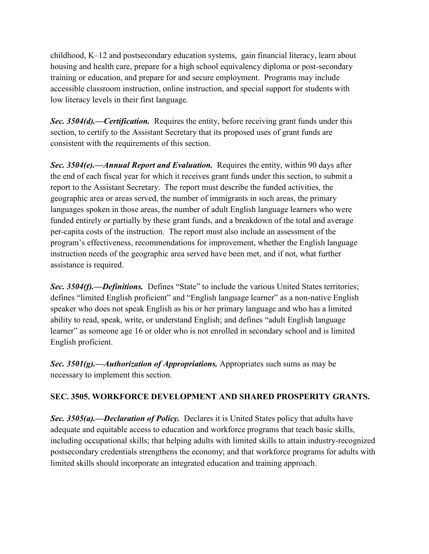childhood, K–12 and postsecondary education systems, gain financial literacy, learn about housing and health care, prepare for a high school equivalency diploma or post-secondary training or education, and prepare for and secure employment. Programs may include accessible classroom instruction, online instruction, and special support for students with low literacy levels in their first language.

*Sec. 3504(d).––Certification.* Requires the entity, before receiving grant funds under this section, to certify to the Assistant Secretary that its proposed uses of grant funds are consistent with the requirements of this section.

*Sec. 3504(e).––Annual Report and Evaluation.* Requires the entity, within 90 days after the end of each fiscal year for which it receives grant funds under this section, to submit a report to the Assistant Secretary. The report must describe the funded activities, the geographic area or areas served, the number of immigrants in such areas, the primary languages spoken in those areas, the number of adult English language learners who were funded entirely or partially by these grant funds, and a breakdown of the total and average per-capita costs of the instruction. The report must also include an assessment of the program's effectiveness, recommendations for improvement, whether the English language instruction needs of the geographic area served have been met, and if not, what further assistance is required.

*Sec. 3504(f).—Definitions.* Defines "State" to include the various United States territories; defines "limited English proficient" and "English language learner" as a non-native English speaker who does not speak English as his or her primary language and who has a limited ability to read, speak, write, or understand English; and defines "adult English language learner" as someone age 16 or older who is not enrolled in secondary school and is limited English proficient.

*Sec. 3501(g).––Authorization of Appropriations.* Appropriates such sums as may be necessary to implement this section.

### **SEC. 3505. WORKFORCE DEVELOPMENT AND SHARED PROSPERITY GRANTS.**

*Sec. 3505(a).––Declaration of Policy.* Declares it is United States policy that adults have adequate and equitable access to education and workforce programs that teach basic skills, including occupational skills; that helping adults with limited skills to attain industry-recognized postsecondary credentials strengthens the economy; and that workforce programs for adults with limited skills should incorporate an integrated education and training approach.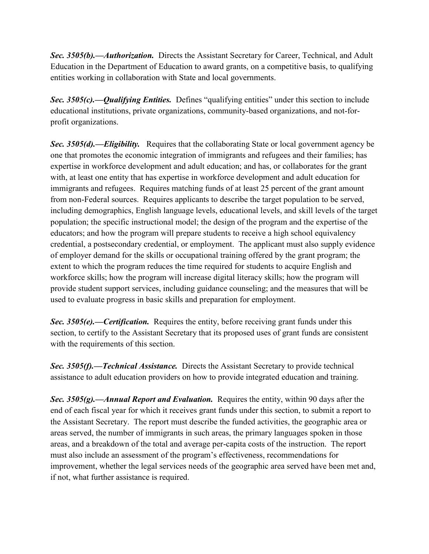*Sec. 3505(b).––Authorization.* Directs the Assistant Secretary for Career, Technical, and Adult Education in the Department of Education to award grants, on a competitive basis, to qualifying entities working in collaboration with State and local governments.

**Sec. 3505(c).—Qualifying Entities.** Defines "qualifying entities" under this section to include educational institutions, private organizations, community-based organizations, and not-forprofit organizations.

*Sec. 3505(d).––Eligibility.* Requires that the collaborating State or local government agency be one that promotes the economic integration of immigrants and refugees and their families; has expertise in workforce development and adult education; and has, or collaborates for the grant with, at least one entity that has expertise in workforce development and adult education for immigrants and refugees. Requires matching funds of at least 25 percent of the grant amount from non-Federal sources. Requires applicants to describe the target population to be served, including demographics, English language levels, educational levels, and skill levels of the target population; the specific instructional model; the design of the program and the expertise of the educators; and how the program will prepare students to receive a high school equivalency credential, a postsecondary credential, or employment. The applicant must also supply evidence of employer demand for the skills or occupational training offered by the grant program; the extent to which the program reduces the time required for students to acquire English and workforce skills; how the program will increase digital literacy skills; how the program will provide student support services, including guidance counseling; and the measures that will be used to evaluate progress in basic skills and preparation for employment.

*Sec. 3505(e).––Certification.* Requires the entity, before receiving grant funds under this section, to certify to the Assistant Secretary that its proposed uses of grant funds are consistent with the requirements of this section.

*Sec. 3505(f).––Technical Assistance.* Directs the Assistant Secretary to provide technical assistance to adult education providers on how to provide integrated education and training.

*Sec. 3505(g).––Annual Report and Evaluation.* Requires the entity, within 90 days after the end of each fiscal year for which it receives grant funds under this section, to submit a report to the Assistant Secretary. The report must describe the funded activities, the geographic area or areas served, the number of immigrants in such areas, the primary languages spoken in those areas, and a breakdown of the total and average per-capita costs of the instruction. The report must also include an assessment of the program's effectiveness, recommendations for improvement, whether the legal services needs of the geographic area served have been met and, if not, what further assistance is required.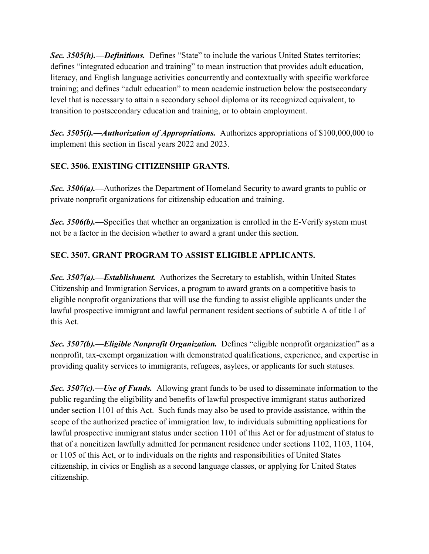**Sec. 3505(h).—Definitions.** Defines "State" to include the various United States territories; defines "integrated education and training" to mean instruction that provides adult education, literacy, and English language activities concurrently and contextually with specific workforce training; and defines "adult education" to mean academic instruction below the postsecondary level that is necessary to attain a secondary school diploma or its recognized equivalent, to transition to postsecondary education and training, or to obtain employment.

*Sec. 3505(i).—Authorization of Appropriations.* Authorizes appropriations of \$100,000,000 to implement this section in fiscal years 2022 and 2023.

### **SEC. 3506. EXISTING CITIZENSHIP GRANTS.**

*Sec. 3506(a).—*Authorizes the Department of Homeland Security to award grants to public or private nonprofit organizations for citizenship education and training.

*Sec.* 3506(b).—Specifies that whether an organization is enrolled in the E-Verify system must not be a factor in the decision whether to award a grant under this section.

### **SEC. 3507. GRANT PROGRAM TO ASSIST ELIGIBLE APPLICANTS.**

*Sec. 3507(a).—Establishment.* Authorizes the Secretary to establish, within United States Citizenship and Immigration Services, a program to award grants on a competitive basis to eligible nonprofit organizations that will use the funding to assist eligible applicants under the lawful prospective immigrant and lawful permanent resident sections of subtitle A of title I of this Act.

**Sec. 3507(b).—Eligible Nonprofit Organization.** Defines "eligible nonprofit organization" as a nonprofit, tax-exempt organization with demonstrated qualifications, experience, and expertise in providing quality services to immigrants, refugees, asylees, or applicants for such statuses.

*Sec. 3507(c).—Use of Funds.* Allowing grant funds to be used to disseminate information to the public regarding the eligibility and benefits of lawful prospective immigrant status authorized under section 1101 of this Act. Such funds may also be used to provide assistance, within the scope of the authorized practice of immigration law, to individuals submitting applications for lawful prospective immigrant status under section 1101 of this Act or for adjustment of status to that of a noncitizen lawfully admitted for permanent residence under sections 1102, 1103, 1104, or 1105 of this Act, or to individuals on the rights and responsibilities of United States citizenship, in civics or English as a second language classes, or applying for United States citizenship.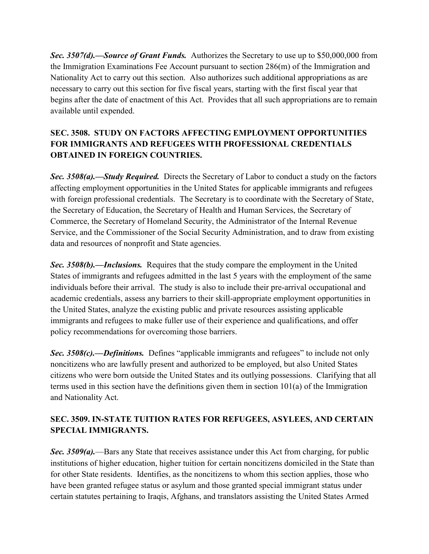*Sec. 3507(d).—Source of Grant Funds.* Authorizes the Secretary to use up to \$50,000,000 from the Immigration Examinations Fee Account pursuant to section 286(m) of the Immigration and Nationality Act to carry out this section. Also authorizes such additional appropriations as are necessary to carry out this section for five fiscal years, starting with the first fiscal year that begins after the date of enactment of this Act. Provides that all such appropriations are to remain available until expended.

# **SEC. 3508. STUDY ON FACTORS AFFECTING EMPLOYMENT OPPORTUNITIES FOR IMMIGRANTS AND REFUGEES WITH PROFESSIONAL CREDENTIALS OBTAINED IN FOREIGN COUNTRIES.**

*Sec. 3508(a).—Study Required.* Directs the Secretary of Labor to conduct a study on the factors affecting employment opportunities in the United States for applicable immigrants and refugees with foreign professional credentials. The Secretary is to coordinate with the Secretary of State, the Secretary of Education, the Secretary of Health and Human Services, the Secretary of Commerce, the Secretary of Homeland Security, the Administrator of the Internal Revenue Service, and the Commissioner of the Social Security Administration, and to draw from existing data and resources of nonprofit and State agencies.

*Sec. 3508(b).—Inclusions.* Requires that the study compare the employment in the United States of immigrants and refugees admitted in the last 5 years with the employment of the same individuals before their arrival. The study is also to include their pre-arrival occupational and academic credentials, assess any barriers to their skill-appropriate employment opportunities in the United States, analyze the existing public and private resources assisting applicable immigrants and refugees to make fuller use of their experience and qualifications, and offer policy recommendations for overcoming those barriers.

**Sec. 3508(c).—Definitions.** Defines "applicable immigrants and refugees" to include not only noncitizens who are lawfully present and authorized to be employed, but also United States citizens who were born outside the United States and its outlying possessions. Clarifying that all terms used in this section have the definitions given them in section 101(a) of the Immigration and Nationality Act.

# **SEC. 3509. IN-STATE TUITION RATES FOR REFUGEES, ASYLEES, AND CERTAIN SPECIAL IMMIGRANTS.**

**Sec. 3509(a).**—Bars any State that receives assistance under this Act from charging, for public institutions of higher education, higher tuition for certain noncitizens domiciled in the State than for other State residents. Identifies, as the noncitizens to whom this section applies, those who have been granted refugee status or asylum and those granted special immigrant status under certain statutes pertaining to Iraqis, Afghans, and translators assisting the United States Armed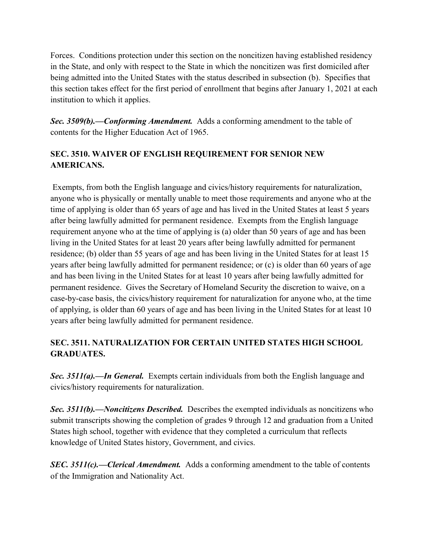Forces. Conditions protection under this section on the noncitizen having established residency in the State, and only with respect to the State in which the noncitizen was first domiciled after being admitted into the United States with the status described in subsection (b). Specifies that this section takes effect for the first period of enrollment that begins after January 1, 2021 at each institution to which it applies.

*Sec. 3509(b).—Conforming Amendment.* Adds a conforming amendment to the table of contents for the Higher Education Act of 1965.

### **SEC. 3510. WAIVER OF ENGLISH REQUIREMENT FOR SENIOR NEW AMERICANS.**

Exempts, from both the English language and civics/history requirements for naturalization, anyone who is physically or mentally unable to meet those requirements and anyone who at the time of applying is older than 65 years of age and has lived in the United States at least 5 years after being lawfully admitted for permanent residence. Exempts from the English language requirement anyone who at the time of applying is (a) older than 50 years of age and has been living in the United States for at least 20 years after being lawfully admitted for permanent residence; (b) older than 55 years of age and has been living in the United States for at least 15 years after being lawfully admitted for permanent residence; or (c) is older than 60 years of age and has been living in the United States for at least 10 years after being lawfully admitted for permanent residence. Gives the Secretary of Homeland Security the discretion to waive, on a case-by-case basis, the civics/history requirement for naturalization for anyone who, at the time of applying, is older than 60 years of age and has been living in the United States for at least 10 years after being lawfully admitted for permanent residence.

# **SEC. 3511. NATURALIZATION FOR CERTAIN UNITED STATES HIGH SCHOOL GRADUATES.**

*Sec. 3511(a).—In General.* Exempts certain individuals from both the English language and civics/history requirements for naturalization.

*Sec. 3511(b).—Noncitizens Described.* Describes the exempted individuals as noncitizens who submit transcripts showing the completion of grades 9 through 12 and graduation from a United States high school, together with evidence that they completed a curriculum that reflects knowledge of United States history, Government, and civics.

*SEC. 3511(c).—Clerical Amendment.* Adds a conforming amendment to the table of contents of the Immigration and Nationality Act.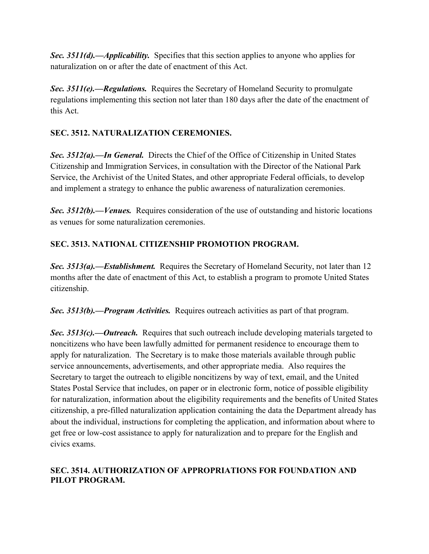*Sec. 3511(d).—Applicability.* Specifies that this section applies to anyone who applies for naturalization on or after the date of enactment of this Act.

*Sec. 3511(e).—Regulations.* Requires the Secretary of Homeland Security to promulgate regulations implementing this section not later than 180 days after the date of the enactment of this Act.

### **SEC. 3512. NATURALIZATION CEREMONIES.**

*Sec. 3512(a).—In General.* Directs the Chief of the Office of Citizenship in United States Citizenship and Immigration Services, in consultation with the Director of the National Park Service, the Archivist of the United States, and other appropriate Federal officials, to develop and implement a strategy to enhance the public awareness of naturalization ceremonies.

*Sec. 3512(b).—Venues.* Requires consideration of the use of outstanding and historic locations as venues for some naturalization ceremonies.

### **SEC. 3513. NATIONAL CITIZENSHIP PROMOTION PROGRAM.**

*Sec. 3513(a).—Establishment.* Requires the Secretary of Homeland Security, not later than 12 months after the date of enactment of this Act, to establish a program to promote United States citizenship.

*Sec. 3513(b).—Program Activities.* Requires outreach activities as part of that program.

*Sec. 3513(c).—Outreach.* Requires that such outreach include developing materials targeted to noncitizens who have been lawfully admitted for permanent residence to encourage them to apply for naturalization. The Secretary is to make those materials available through public service announcements, advertisements, and other appropriate media. Also requires the Secretary to target the outreach to eligible noncitizens by way of text, email, and the United States Postal Service that includes, on paper or in electronic form, notice of possible eligibility for naturalization, information about the eligibility requirements and the benefits of United States citizenship, a pre-filled naturalization application containing the data the Department already has about the individual, instructions for completing the application, and information about where to get free or low-cost assistance to apply for naturalization and to prepare for the English and civics exams.

#### **SEC. 3514. AUTHORIZATION OF APPROPRIATIONS FOR FOUNDATION AND PILOT PROGRAM.**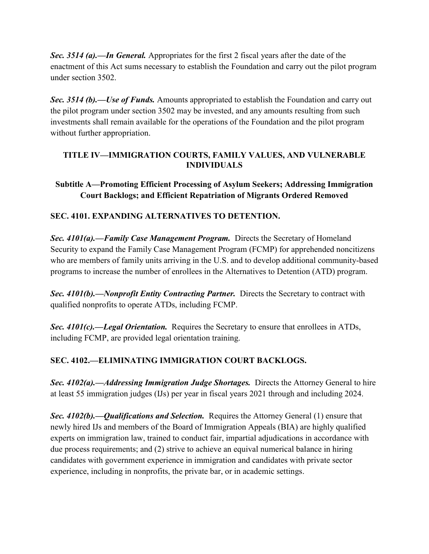*Sec. 3514 (a).—In General.* Appropriates for the first 2 fiscal years after the date of the enactment of this Act sums necessary to establish the Foundation and carry out the pilot program under section 3502.

*Sec. 3514 (b).—Use of Funds.* Amounts appropriated to establish the Foundation and carry out the pilot program under section 3502 may be invested, and any amounts resulting from such investments shall remain available for the operations of the Foundation and the pilot program without further appropriation.

#### **TITLE IV—IMMIGRATION COURTS, FAMILY VALUES, AND VULNERABLE INDIVIDUALS**

### **Subtitle A—Promoting Efficient Processing of Asylum Seekers; Addressing Immigration Court Backlogs; and Efficient Repatriation of Migrants Ordered Removed**

### **SEC. 4101. EXPANDING ALTERNATIVES TO DETENTION.**

*Sec. 4101(a).––Family Case Management Program.* Directs the Secretary of Homeland Security to expand the Family Case Management Program (FCMP) for apprehended noncitizens who are members of family units arriving in the U.S. and to develop additional community-based programs to increase the number of enrollees in the Alternatives to Detention (ATD) program.

*Sec. 4101(b).––Nonprofit Entity Contracting Partner.* Directs the Secretary to contract with qualified nonprofits to operate ATDs, including FCMP.

*Sec. 4101(c).––Legal Orientation.* Requires the Secretary to ensure that enrollees in ATDs, including FCMP, are provided legal orientation training.

### **SEC. 4102.––ELIMINATING IMMIGRATION COURT BACKLOGS.**

*Sec. 4102(a).––Addressing Immigration Judge Shortages.* Directs the Attorney General to hire at least 55 immigration judges (IJs) per year in fiscal years 2021 through and including 2024.

*Sec. 4102(b).––Qualifications and Selection.* Requires the Attorney General (1) ensure that newly hired IJs and members of the Board of Immigration Appeals (BIA) are highly qualified experts on immigration law, trained to conduct fair, impartial adjudications in accordance with due process requirements; and (2) strive to achieve an equival numerical balance in hiring candidates with government experience in immigration and candidates with private sector experience, including in nonprofits, the private bar, or in academic settings.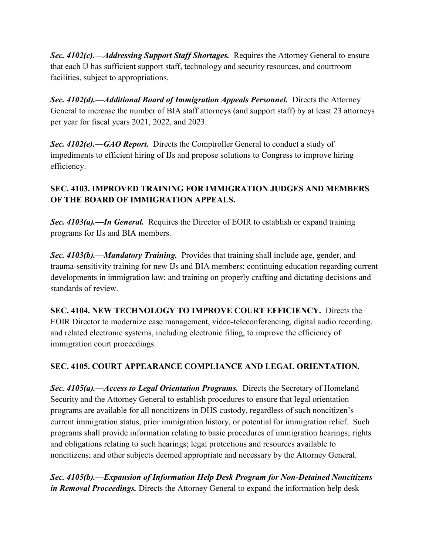*Sec. 4102(c).––Addressing Support Staff Shortages.* Requires the Attorney General to ensure that each IJ has sufficient support staff, technology and security resources, and courtroom facilities, subject to appropriations.

*Sec. 4102(d).––Additional Board of Immigration Appeals Personnel.* Directs the Attorney General to increase the number of BIA staff attorneys (and support staff) by at least 23 attorneys per year for fiscal years 2021, 2022, and 2023.

*Sec. 4102(e).––GAO Report.* Directs the Comptroller General to conduct a study of impediments to efficient hiring of IJs and propose solutions to Congress to improve hiring efficiency.

# **SEC. 4103. IMPROVED TRAINING FOR IMMIGRATION JUDGES AND MEMBERS OF THE BOARD OF IMMIGRATION APPEALS.**

**Sec. 4103(a).—In General.** Requires the Director of EOIR to establish or expand training programs for IJs and BIA members.

*Sec. 4103(b).––Mandatory Training.* Provides that training shall include age, gender, and trauma-sensitivity training for new IJs and BIA members; continuing education regarding current developments in immigration law; and training on properly crafting and dictating decisions and standards of review.

**SEC. 4104. NEW TECHNOLOGY TO IMPROVE COURT EFFICIENCY.** Directs the EOIR Director to modernize case management, video-teleconferencing, digital audio recording, and related electronic systems, including electronic filing, to improve the efficiency of immigration court proceedings.

# **SEC. 4105. COURT APPEARANCE COMPLIANCE AND LEGAL ORIENTATION.**

*Sec. 4105(a).––Access to Legal Orientation Programs.* Directs the Secretary of Homeland Security and the Attorney General to establish procedures to ensure that legal orientation programs are available for all noncitizens in DHS custody, regardless of such noncitizen's current immigration status, prior immigration history, or potential for immigration relief. Such programs shall provide information relating to basic procedures of immigration hearings; rights and obligations relating to such hearings; legal protections and resources available to noncitizens; and other subjects deemed appropriate and necessary by the Attorney General.

*Sec. 4105(b).––Expansion of Information Help Desk Program for Non-Detained Noncitizens in Removal Proceedings.* Directs the Attorney General to expand the information help desk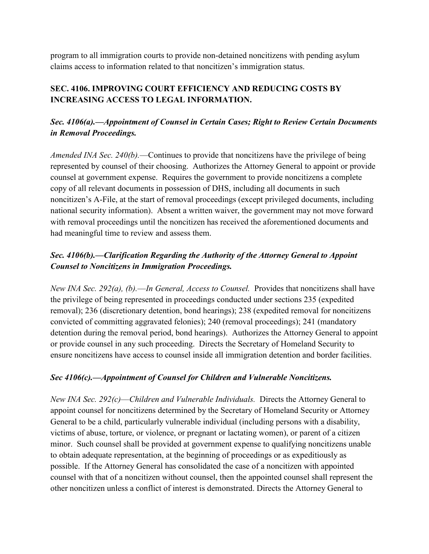program to all immigration courts to provide non-detained noncitizens with pending asylum claims access to information related to that noncitizen's immigration status.

# **SEC. 4106. IMPROVING COURT EFFICIENCY AND REDUCING COSTS BY INCREASING ACCESS TO LEGAL INFORMATION.**

### *Sec. 4106(a).––Appointment of Counsel in Certain Cases; Right to Review Certain Documents in Removal Proceedings.*

*Amended INA Sec. 240(b).––*Continues to provide that noncitizens have the privilege of being represented by counsel of their choosing. Authorizes the Attorney General to appoint or provide counsel at government expense. Requires the government to provide noncitizens a complete copy of all relevant documents in possession of DHS, including all documents in such noncitizen's A-File, at the start of removal proceedings (except privileged documents, including national security information). Absent a written waiver, the government may not move forward with removal proceedings until the noncitizen has received the aforementioned documents and had meaningful time to review and assess them.

# *Sec. 4106(b).––Clarification Regarding the Authority of the Attorney General to Appoint Counsel to Noncitizens in Immigration Proceedings.*

*New INA Sec. 292(a), (b).––In General, Access to Counsel.* Provides that noncitizens shall have the privilege of being represented in proceedings conducted under sections 235 (expedited removal); 236 (discretionary detention, bond hearings); 238 (expedited removal for noncitizens convicted of committing aggravated felonies); 240 (removal proceedings); 241 (mandatory detention during the removal period, bond hearings). Authorizes the Attorney General to appoint or provide counsel in any such proceeding. Directs the Secretary of Homeland Security to ensure noncitizens have access to counsel inside all immigration detention and border facilities.

### *Sec 4106(c).––Appointment of Counsel for Children and Vulnerable Noncitizens.*

*New INA Sec. 292(c)––Children and Vulnerable Individuals.* Directs the Attorney General to appoint counsel for noncitizens determined by the Secretary of Homeland Security or Attorney General to be a child, particularly vulnerable individual (including persons with a disability, victims of abuse, torture, or violence, or pregnant or lactating women), or parent of a citizen minor. Such counsel shall be provided at government expense to qualifying noncitizens unable to obtain adequate representation, at the beginning of proceedings or as expeditiously as possible. If the Attorney General has consolidated the case of a noncitizen with appointed counsel with that of a noncitizen without counsel, then the appointed counsel shall represent the other noncitizen unless a conflict of interest is demonstrated. Directs the Attorney General to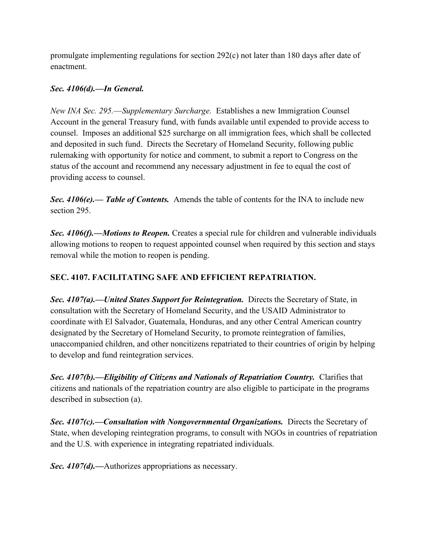promulgate implementing regulations for section 292(c) not later than 180 days after date of enactment.

### *Sec. 4106(d).––In General.*

*New INA Sec. 295.––Supplementary Surcharge.* Establishes a new Immigration Counsel Account in the general Treasury fund, with funds available until expended to provide access to counsel. Imposes an additional \$25 surcharge on all immigration fees, which shall be collected and deposited in such fund. Directs the Secretary of Homeland Security, following public rulemaking with opportunity for notice and comment, to submit a report to Congress on the status of the account and recommend any necessary adjustment in fee to equal the cost of providing access to counsel.

*Sec. 4106(e).–– Table of Contents.* Amends the table of contents for the INA to include new section 295.

*Sec. 4106(f).––Motions to Reopen.* Creates a special rule for children and vulnerable individuals allowing motions to reopen to request appointed counsel when required by this section and stays removal while the motion to reopen is pending.

### **SEC. 4107. FACILITATING SAFE AND EFFICIENT REPATRIATION.**

*Sec. 4107(a).––United States Support for Reintegration.* Directs the Secretary of State, in consultation with the Secretary of Homeland Security, and the USAID Administrator to coordinate with El Salvador, Guatemala, Honduras, and any other Central American country designated by the Secretary of Homeland Security, to promote reintegration of families, unaccompanied children, and other noncitizens repatriated to their countries of origin by helping to develop and fund reintegration services.

*Sec. 4107(b).––Eligibility of Citizens and Nationals of Repatriation Country.* Clarifies that citizens and nationals of the repatriation country are also eligible to participate in the programs described in subsection (a).

*Sec. 4107(c).––Consultation with Nongovernmental Organizations.* Directs the Secretary of State, when developing reintegration programs, to consult with NGOs in countries of repatriation and the U.S. with experience in integrating repatriated individuals.

*Sec. 4107(d).––*Authorizes appropriations as necessary.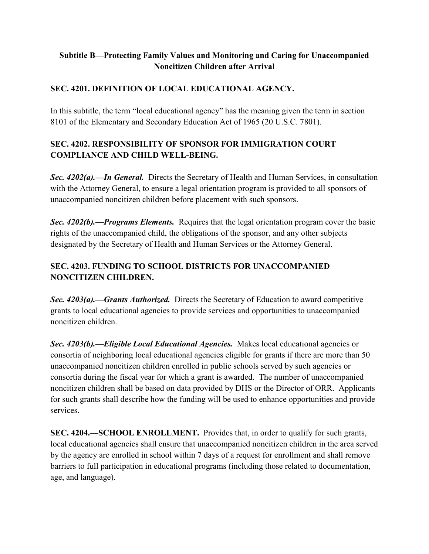### **Subtitle B—Protecting Family Values and Monitoring and Caring for Unaccompanied Noncitizen Children after Arrival**

### **SEC. 4201. DEFINITION OF LOCAL EDUCATIONAL AGENCY.**

In this subtitle, the term "local educational agency" has the meaning given the term in section 8101 of the Elementary and Secondary Education Act of 1965 (20 U.S.C. 7801).

### **SEC. 4202. RESPONSIBILITY OF SPONSOR FOR IMMIGRATION COURT COMPLIANCE AND CHILD WELL-BEING.**

*Sec. 4202(a).––In General.* Directs the Secretary of Health and Human Services, in consultation with the Attorney General, to ensure a legal orientation program is provided to all sponsors of unaccompanied noncitizen children before placement with such sponsors.

*Sec. 4202(b).––Programs Elements.* Requires that the legal orientation program cover the basic rights of the unaccompanied child, the obligations of the sponsor, and any other subjects designated by the Secretary of Health and Human Services or the Attorney General.

# **SEC. 4203. FUNDING TO SCHOOL DISTRICTS FOR UNACCOMPANIED NONCITIZEN CHILDREN.**

*Sec. 4203(a).––Grants Authorized.* Directs the Secretary of Education to award competitive grants to local educational agencies to provide services and opportunities to unaccompanied noncitizen children.

*Sec. 4203(b).––Eligible Local Educational Agencies.* Makes local educational agencies or consortia of neighboring local educational agencies eligible for grants if there are more than 50 unaccompanied noncitizen children enrolled in public schools served by such agencies or consortia during the fiscal year for which a grant is awarded. The number of unaccompanied noncitizen children shall be based on data provided by DHS or the Director of ORR. Applicants for such grants shall describe how the funding will be used to enhance opportunities and provide services.

**SEC. 4204.—SCHOOL ENROLLMENT.** Provides that, in order to qualify for such grants, local educational agencies shall ensure that unaccompanied noncitizen children in the area served by the agency are enrolled in school within 7 days of a request for enrollment and shall remove barriers to full participation in educational programs (including those related to documentation, age, and language).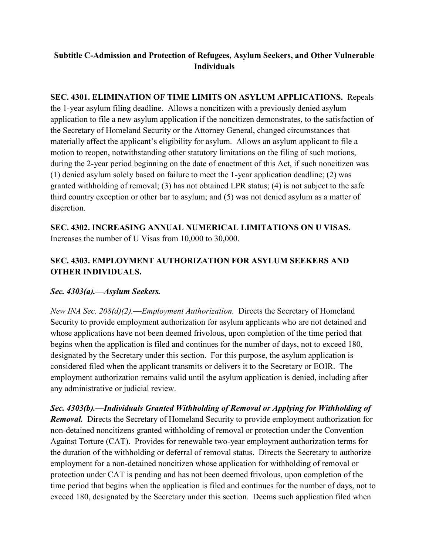### **Subtitle C-Admission and Protection of Refugees, Asylum Seekers, and Other Vulnerable Individuals**

**SEC. 4301. ELIMINATION OF TIME LIMITS ON ASYLUM APPLICATIONS.** Repeals the 1-year asylum filing deadline. Allows a noncitizen with a previously denied asylum application to file a new asylum application if the noncitizen demonstrates, to the satisfaction of the Secretary of Homeland Security or the Attorney General, changed circumstances that materially affect the applicant's eligibility for asylum. Allows an asylum applicant to file a motion to reopen, notwithstanding other statutory limitations on the filing of such motions, during the 2-year period beginning on the date of enactment of this Act, if such noncitizen was (1) denied asylum solely based on failure to meet the 1-year application deadline; (2) was granted withholding of removal; (3) has not obtained LPR status; (4) is not subject to the safe third country exception or other bar to asylum; and (5) was not denied asylum as a matter of discretion.

**SEC. 4302. INCREASING ANNUAL NUMERICAL LIMITATIONS ON U VISAS.**  Increases the number of U Visas from 10,000 to 30,000.

# **SEC. 4303. EMPLOYMENT AUTHORIZATION FOR ASYLUM SEEKERS AND OTHER INDIVIDUALS.**

### *Sec. 4303(a).––Asylum Seekers.*

*New INA Sec. 208(d)(2).––Employment Authorization.* Directs the Secretary of Homeland Security to provide employment authorization for asylum applicants who are not detained and whose applications have not been deemed frivolous, upon completion of the time period that begins when the application is filed and continues for the number of days, not to exceed 180, designated by the Secretary under this section. For this purpose, the asylum application is considered filed when the applicant transmits or delivers it to the Secretary or EOIR. The employment authorization remains valid until the asylum application is denied, including after any administrative or judicial review.

*Sec. 4303(b).––Individuals Granted Withholding of Removal or Applying for Withholding of Removal.* Directs the Secretary of Homeland Security to provide employment authorization for non-detained noncitizens granted withholding of removal or protection under the Convention Against Torture (CAT). Provides for renewable two-year employment authorization terms for the duration of the withholding or deferral of removal status. Directs the Secretary to authorize employment for a non-detained noncitizen whose application for withholding of removal or protection under CAT is pending and has not been deemed frivolous, upon completion of the time period that begins when the application is filed and continues for the number of days, not to exceed 180, designated by the Secretary under this section. Deems such application filed when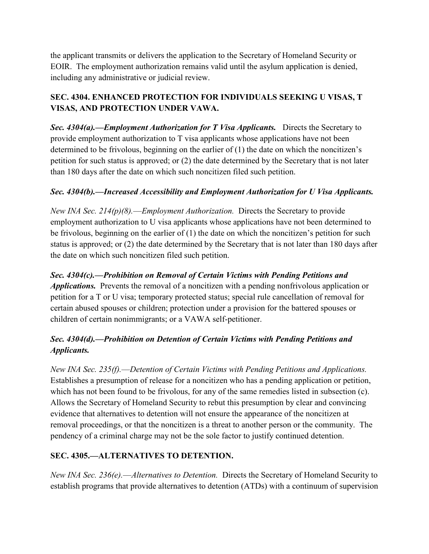the applicant transmits or delivers the application to the Secretary of Homeland Security or EOIR. The employment authorization remains valid until the asylum application is denied, including any administrative or judicial review.

# **SEC. 4304. ENHANCED PROTECTION FOR INDIVIDUALS SEEKING U VISAS, T VISAS, AND PROTECTION UNDER VAWA.**

*Sec. 4304(a).––Employment Authorization for T Visa Applicants.* Directs the Secretary to provide employment authorization to T visa applicants whose applications have not been determined to be frivolous, beginning on the earlier of  $(1)$  the date on which the noncitizen's petition for such status is approved; or (2) the date determined by the Secretary that is not later than 180 days after the date on which such noncitizen filed such petition.

# *Sec. 4304(b).––Increased Accessibility and Employment Authorization for U Visa Applicants.*

*New INA Sec. 214(p)(8).––Employment Authorization.* Directs the Secretary to provide employment authorization to U visa applicants whose applications have not been determined to be frivolous, beginning on the earlier of  $(1)$  the date on which the noncitizen's petition for such status is approved; or (2) the date determined by the Secretary that is not later than 180 days after the date on which such noncitizen filed such petition.

*Sec. 4304(c).––Prohibition on Removal of Certain Victims with Pending Petitions and Applications.* Prevents the removal of a noncitizen with a pending nonfrivolous application or petition for a T or U visa; temporary protected status; special rule cancellation of removal for certain abused spouses or children; protection under a provision for the battered spouses or children of certain nonimmigrants; or a VAWA self-petitioner.

# *Sec. 4304(d).––Prohibition on Detention of Certain Victims with Pending Petitions and Applicants.*

*New INA Sec. 235(f).––Detention of Certain Victims with Pending Petitions and Applications.* Establishes a presumption of release for a noncitizen who has a pending application or petition, which has not been found to be frivolous, for any of the same remedies listed in subsection (c). Allows the Secretary of Homeland Security to rebut this presumption by clear and convincing evidence that alternatives to detention will not ensure the appearance of the noncitizen at removal proceedings, or that the noncitizen is a threat to another person or the community. The pendency of a criminal charge may not be the sole factor to justify continued detention.

# **SEC. 4305.––ALTERNATIVES TO DETENTION.**

*New INA Sec. 236(e).––Alternatives to Detention.* Directs the Secretary of Homeland Security to establish programs that provide alternatives to detention (ATDs) with a continuum of supervision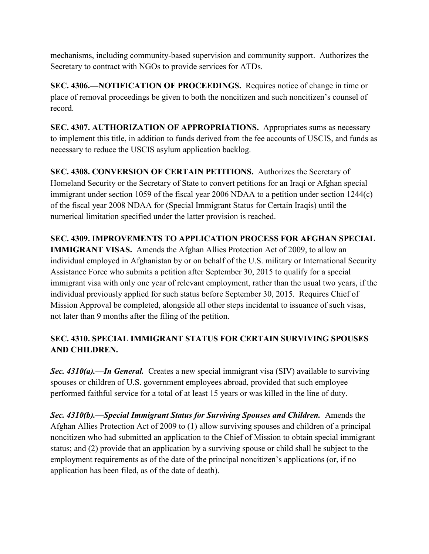mechanisms, including community-based supervision and community support. Authorizes the Secretary to contract with NGOs to provide services for ATDs.

**SEC. 4306.––NOTIFICATION OF PROCEEDINGS.** Requires notice of change in time or place of removal proceedings be given to both the noncitizen and such noncitizen's counsel of record.

**SEC. 4307. AUTHORIZATION OF APPROPRIATIONS.** Appropriates sums as necessary to implement this title, in addition to funds derived from the fee accounts of USCIS, and funds as necessary to reduce the USCIS asylum application backlog.

**SEC. 4308. CONVERSION OF CERTAIN PETITIONS.** Authorizes the Secretary of Homeland Security or the Secretary of State to convert petitions for an Iraqi or Afghan special immigrant under section 1059 of the fiscal year 2006 NDAA to a petition under section 1244(c) of the fiscal year 2008 NDAA for (Special Immigrant Status for Certain Iraqis) until the numerical limitation specified under the latter provision is reached.

**SEC. 4309. IMPROVEMENTS TO APPLICATION PROCESS FOR AFGHAN SPECIAL IMMIGRANT VISAS.** Amends the Afghan Allies Protection Act of 2009, to allow an individual employed in Afghanistan by or on behalf of the U.S. military or International Security Assistance Force who submits a petition after September 30, 2015 to qualify for a special immigrant visa with only one year of relevant employment, rather than the usual two years, if the individual previously applied for such status before September 30, 2015. Requires Chief of Mission Approval be completed, alongside all other steps incidental to issuance of such visas, not later than 9 months after the filing of the petition.

# **SEC. 4310. SPECIAL IMMIGRANT STATUS FOR CERTAIN SURVIVING SPOUSES AND CHILDREN.**

*Sec. 4310(a).––In General.* Creates a new special immigrant visa (SIV) available to surviving spouses or children of U.S. government employees abroad, provided that such employee performed faithful service for a total of at least 15 years or was killed in the line of duty.

*Sec. 4310(b).––Special Immigrant Status for Surviving Spouses and Children.*Amends the Afghan Allies Protection Act of 2009 to (1) allow surviving spouses and children of a principal noncitizen who had submitted an application to the Chief of Mission to obtain special immigrant status; and (2) provide that an application by a surviving spouse or child shall be subject to the employment requirements as of the date of the principal noncitizen's applications (or, if no application has been filed, as of the date of death).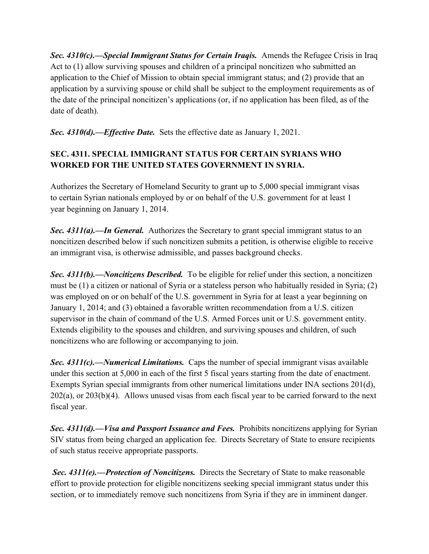*Sec. 4310(c).––Special Immigrant Status for Certain Iraqis.* Amends the Refugee Crisis in Iraq Act to (1) allow surviving spouses and children of a principal noncitizen who submitted an application to the Chief of Mission to obtain special immigrant status; and (2) provide that an application by a surviving spouse or child shall be subject to the employment requirements as of the date of the principal noncitizen's applications (or, if no application has been filed, as of the date of death).

*Sec. 4310(d).––Effective Date.* Sets the effective date as January 1, 2021.

# **SEC. 4311. SPECIAL IMMIGRANT STATUS FOR CERTAIN SYRIANS WHO WORKED FOR THE UNITED STATES GOVERNMENT IN SYRIA.**

Authorizes the Secretary of Homeland Security to grant up to 5,000 special immigrant visas to certain Syrian nationals employed by or on behalf of the U.S. government for at least 1 year beginning on January 1, 2014.

*Sec. 4311(a).––In General.* Authorizes the Secretary to grant special immigrant status to an noncitizen described below if such noncitizen submits a petition, is otherwise eligible to receive an immigrant visa, is otherwise admissible, and passes background checks.

*Sec. 4311(b).––Noncitizens Described.* To be eligible for relief under this section, a noncitizen must be (1) a citizen or national of Syria or a stateless person who habitually resided in Syria; (2) was employed on or on behalf of the U.S. government in Syria for at least a year beginning on January 1, 2014; and (3) obtained a favorable written recommendation from a U.S. citizen supervisor in the chain of command of the U.S. Armed Forces unit or U.S. government entity. Extends eligibility to the spouses and children, and surviving spouses and children, of such noncitizens who are following or accompanying to join.

*Sec. 4311(c).––Numerical Limitations.* Caps the number of special immigrant visas available under this section at 5,000 in each of the first 5 fiscal years starting from the date of enactment. Exempts Syrian special immigrants from other numerical limitations under INA sections 201(d), 202(a), or 203(b)(4). Allows unused visas from each fiscal year to be carried forward to the next fiscal year.

*Sec. 4311(d).––Visa and Passport Issuance and Fees.* Prohibits noncitizens applying for Syrian SIV status from being charged an application fee. Directs Secretary of State to ensure recipients of such status receive appropriate passports.

*Sec. 4311(e).––Protection of Noncitizens.* Directs the Secretary of State to make reasonable effort to provide protection for eligible noncitizens seeking special immigrant status under this section, or to immediately remove such noncitizens from Syria if they are in imminent danger.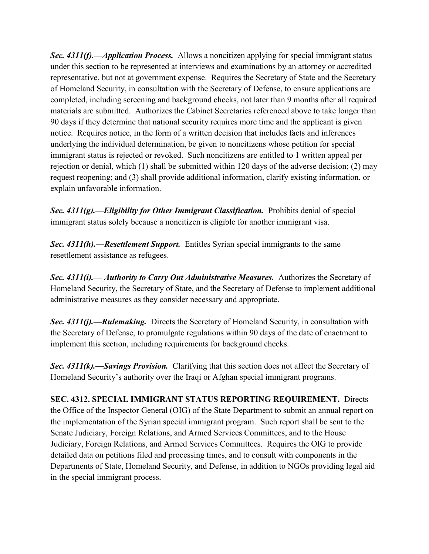*Sec. 4311(f).––Application Process.* Allows a noncitizen applying for special immigrant status under this section to be represented at interviews and examinations by an attorney or accredited representative, but not at government expense. Requires the Secretary of State and the Secretary of Homeland Security, in consultation with the Secretary of Defense, to ensure applications are completed, including screening and background checks, not later than 9 months after all required materials are submitted. Authorizes the Cabinet Secretaries referenced above to take longer than 90 days if they determine that national security requires more time and the applicant is given notice. Requires notice, in the form of a written decision that includes facts and inferences underlying the individual determination, be given to noncitizens whose petition for special immigrant status is rejected or revoked. Such noncitizens are entitled to 1 written appeal per rejection or denial, which (1) shall be submitted within 120 days of the adverse decision; (2) may request reopening; and (3) shall provide additional information, clarify existing information, or explain unfavorable information.

*Sec. 4311(g).––Eligibility for Other Immigrant Classification.* Prohibits denial of special immigrant status solely because a noncitizen is eligible for another immigrant visa.

*Sec. 4311(h).––Resettlement Support.* Entitles Syrian special immigrants to the same resettlement assistance as refugees.

*Sec. 4311(i).–– Authority to Carry Out Administrative Measures.* Authorizes the Secretary of Homeland Security, the Secretary of State, and the Secretary of Defense to implement additional administrative measures as they consider necessary and appropriate.

*Sec. 4311(j).––Rulemaking.* Directs the Secretary of Homeland Security, in consultation with the Secretary of Defense, to promulgate regulations within 90 days of the date of enactment to implement this section, including requirements for background checks.

*Sec. 4311(k).––Savings Provision.* Clarifying that this section does not affect the Secretary of Homeland Security's authority over the Iraqi or Afghan special immigrant programs.

**SEC. 4312. SPECIAL IMMIGRANT STATUS REPORTING REQUIREMENT.** Directs the Office of the Inspector General (OIG) of the State Department to submit an annual report on the implementation of the Syrian special immigrant program. Such report shall be sent to the Senate Judiciary, Foreign Relations, and Armed Services Committees, and to the House Judiciary, Foreign Relations, and Armed Services Committees. Requires the OIG to provide detailed data on petitions filed and processing times, and to consult with components in the Departments of State, Homeland Security, and Defense, in addition to NGOs providing legal aid in the special immigrant process.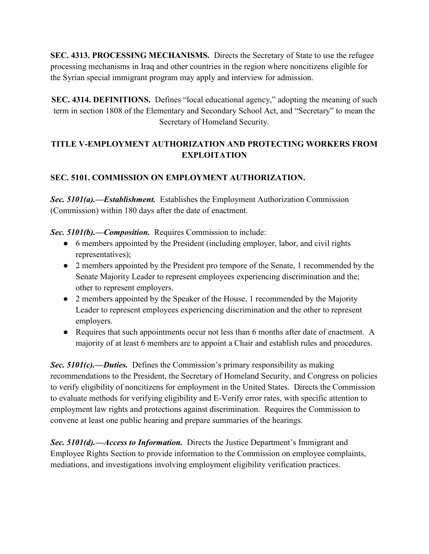**SEC. 4313. PROCESSING MECHANISMS.** Directs the Secretary of State to use the refugee processing mechanisms in Iraq and other countries in the region where noncitizens eligible for the Syrian special immigrant program may apply and interview for admission.

**SEC. 4314. DEFINITIONS.** Defines "local educational agency," adopting the meaning of such term in section 1808 of the Elementary and Secondary School Act, and "Secretary" to mean the Secretary of Homeland Security.

### **TITLE V-EMPLOYMENT AUTHORIZATION AND PROTECTING WORKERS FROM EXPLOITATION**

### **SEC. 5101. COMMISSION ON EMPLOYMENT AUTHORIZATION.**

*Sec. 5101(a).––Establishment.* Establishes the Employment Authorization Commission (Commission) within 180 days after the date of enactment.

*Sec. 5101(b).––Composition.* Requires Commission to include:

- 6 members appointed by the President (including employer, labor, and civil rights representatives);
- 2 members appointed by the President pro tempore of the Senate, 1 recommended by the Senate Majority Leader to represent employees experiencing discrimination and the; other to represent employers.
- 2 members appointed by the Speaker of the House, 1 recommended by the Majority Leader to represent employees experiencing discrimination and the other to represent employers.
- Requires that such appointments occur not less than 6 months after date of enactment. A majority of at least 6 members are to appoint a Chair and establish rules and procedures.

*Sec. 5101(c).—Duties.* Defines the Commission's primary responsibility as making recommendations to the President, the Secretary of Homeland Security, and Congress on policies to verify eligibility of noncitizens for employment in the United States. Directs the Commission to evaluate methods for verifying eligibility and E-Verify error rates, with specific attention to employment law rights and protections against discrimination. Requires the Commission to convene at least one public hearing and prepare summaries of the hearings.

**Sec. 5101(d).**—*Access to Information.* Directs the Justice Department's Immigrant and Employee Rights Section to provide information to the Commission on employee complaints, mediations, and investigations involving employment eligibility verification practices.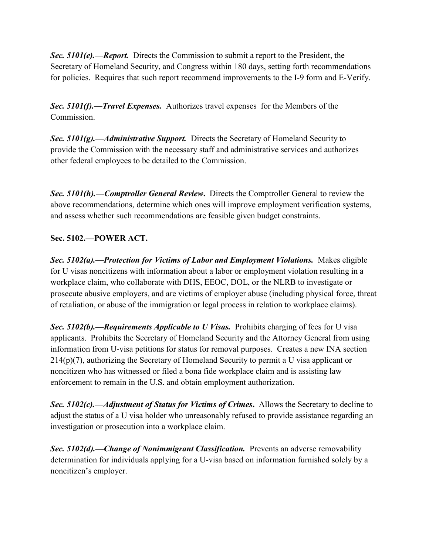*Sec. 5101(e).––Report.* Directs the Commission to submit a report to the President, the Secretary of Homeland Security, and Congress within 180 days, setting forth recommendations for policies. Requires that such report recommend improvements to the I-9 form and E-Verify.

*Sec. 5101(f).––Travel Expenses.* Authorizes travel expenses for the Members of the Commission.

*Sec. 5101(g).––Administrative Support.* Directs the Secretary of Homeland Security to provide the Commission with the necessary staff and administrative services and authorizes other federal employees to be detailed to the Commission.

*Sec. 5101(h).––Comptroller General Review***.** Directs the Comptroller General to review the above recommendations, determine which ones will improve employment verification systems, and assess whether such recommendations are feasible given budget constraints.

### **Sec. 5102.––POWER ACT.**

*Sec. 5102(a).––Protection for Victims of Labor and Employment Violations.* Makes eligible for U visas noncitizens with information about a labor or employment violation resulting in a workplace claim, who collaborate with DHS, EEOC, DOL, or the NLRB to investigate or prosecute abusive employers, and are victims of employer abuse (including physical force, threat of retaliation, or abuse of the immigration or legal process in relation to workplace claims).

*Sec. 5102(b).––Requirements Applicable to U Visas.* Prohibits charging of fees for U visa applicants. Prohibits the Secretary of Homeland Security and the Attorney General from using information from U-visa petitions for status for removal purposes. Creates a new INA section 214(p)(7), authorizing the Secretary of Homeland Security to permit a U visa applicant or noncitizen who has witnessed or filed a bona fide workplace claim and is assisting law enforcement to remain in the U.S. and obtain employment authorization.

*Sec. 5102(c).––Adjustment of Status for Victims of Crimes***.** Allows the Secretary to decline to adjust the status of a U visa holder who unreasonably refused to provide assistance regarding an investigation or prosecution into a workplace claim.

*Sec. 5102(d).––Change of Nonimmigrant Classification.* Prevents an adverse removability determination for individuals applying for a U-visa based on information furnished solely by a noncitizen's employer.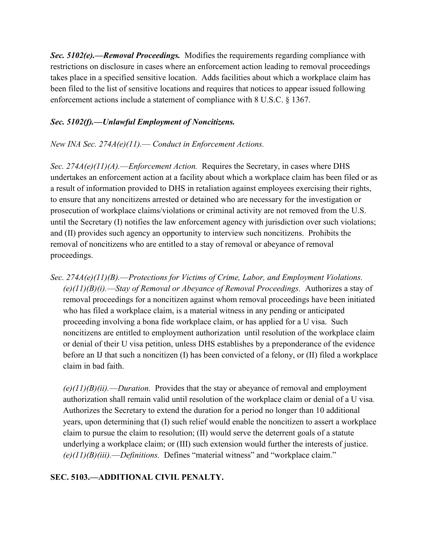*Sec. 5102(e).––Removal Proceedings.* Modifies the requirements regarding compliance with restrictions on disclosure in cases where an enforcement action leading to removal proceedings takes place in a specified sensitive location. Adds facilities about which a workplace claim has been filed to the list of sensitive locations and requires that notices to appear issued following enforcement actions include a statement of compliance with 8 U.S.C. § 1367.

#### *Sec. 5102(f).––Unlawful Employment of Noncitizens.*

#### *New INA Sec. 274A(e)(11).–– Conduct in Enforcement Actions.*

*Sec. 274A(e)(11)(A).––Enforcement Action.* Requires the Secretary, in cases where DHS undertakes an enforcement action at a facility about which a workplace claim has been filed or as a result of information provided to DHS in retaliation against employees exercising their rights, to ensure that any noncitizens arrested or detained who are necessary for the investigation or prosecution of workplace claims/violations or criminal activity are not removed from the U.S. until the Secretary (I) notifies the law enforcement agency with jurisdiction over such violations; and (II) provides such agency an opportunity to interview such noncitizens. Prohibits the removal of noncitizens who are entitled to a stay of removal or abeyance of removal proceedings.

*Sec. 274A(e)(11)(B).––Protections for Victims of Crime, Labor, and Employment Violations. (e)(11)(B)(i).––Stay of Removal or Abeyance of Removal Proceedings.* Authorizes a stay of removal proceedings for a noncitizen against whom removal proceedings have been initiated who has filed a workplace claim, is a material witness in any pending or anticipated proceeding involving a bona fide workplace claim, or has applied for a U visa. Such noncitizens are entitled to employment authorization until resolution of the workplace claim or denial of their U visa petition, unless DHS establishes by a preponderance of the evidence before an IJ that such a noncitizen (I) has been convicted of a felony, or (II) filed a workplace claim in bad faith.

*(e)(11)(B)(ii).––Duration.* Provides that the stay or abeyance of removal and employment authorization shall remain valid until resolution of the workplace claim or denial of a U visa*.*  Authorizes the Secretary to extend the duration for a period no longer than 10 additional years, upon determining that (I) such relief would enable the noncitizen to assert a workplace claim to pursue the claim to resolution; (II) would serve the deterrent goals of a statute underlying a workplace claim; or (III) such extension would further the interests of justice.  $(e)(11)(B)(iii)$ . *––Definitions.* Defines "material witness" and "workplace claim."

### **SEC. 5103.––ADDITIONAL CIVIL PENALTY.**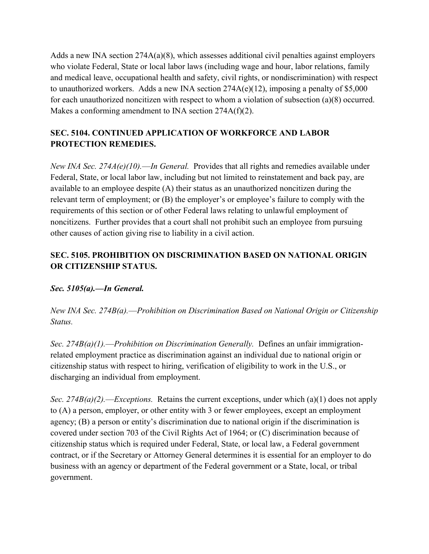Adds a new INA section  $274A(a)(8)$ , which assesses additional civil penalties against employers who violate Federal, State or local labor laws (including wage and hour, labor relations, family and medical leave, occupational health and safety, civil rights, or nondiscrimination) with respect to unauthorized workers. Adds a new INA section 274A(e)(12), imposing a penalty of \$5,000 for each unauthorized noncitizen with respect to whom a violation of subsection (a)(8) occurred. Makes a conforming amendment to INA section 274A(f)(2).

# **SEC. 5104. CONTINUED APPLICATION OF WORKFORCE AND LABOR PROTECTION REMEDIES.**

*New INA Sec. 274A(e)(10).––In General.* Provides that all rights and remedies available under Federal, State, or local labor law, including but not limited to reinstatement and back pay, are available to an employee despite (A) their status as an unauthorized noncitizen during the relevant term of employment; or  $(B)$  the employer's or employee's failure to comply with the requirements of this section or of other Federal laws relating to unlawful employment of noncitizens. Further provides that a court shall not prohibit such an employee from pursuing other causes of action giving rise to liability in a civil action.

### **SEC. 5105. PROHIBITION ON DISCRIMINATION BASED ON NATIONAL ORIGIN OR CITIZENSHIP STATUS.**

*Sec. 5105(a).––In General.*

*New INA Sec. 274B(a).––Prohibition on Discrimination Based on National Origin or Citizenship Status.*

*Sec. 274B(a)(1).––Prohibition on Discrimination Generally.* Defines an unfair immigrationrelated employment practice as discrimination against an individual due to national origin or citizenship status with respect to hiring, verification of eligibility to work in the U.S., or discharging an individual from employment.

*Sec. 274B(a)(2).––Exceptions.* Retains the current exceptions, under which (a)(1) does not apply to (A) a person, employer, or other entity with 3 or fewer employees, except an employment agency;  $(B)$  a person or entity's discrimination due to national origin if the discrimination is covered under section 703 of the Civil Rights Act of 1964; or (C) discrimination because of citizenship status which is required under Federal, State, or local law, a Federal government contract, or if the Secretary or Attorney General determines it is essential for an employer to do business with an agency or department of the Federal government or a State, local, or tribal government.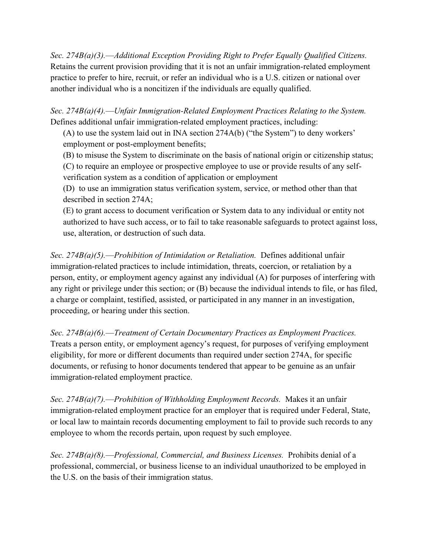*Sec. 274B(a)(3).––Additional Exception Providing Right to Prefer Equally Qualified Citizens.* Retains the current provision providing that it is not an unfair immigration-related employment practice to prefer to hire, recruit, or refer an individual who is a U.S. citizen or national over another individual who is a noncitizen if the individuals are equally qualified.

*Sec. 274B(a)(4).––Unfair Immigration-Related Employment Practices Relating to the System.* Defines additional unfair immigration-related employment practices, including:

(A) to use the system laid out in INA section  $274A(b)$  ("the System") to deny workers' employment or post-employment benefits;

(B) to misuse the System to discriminate on the basis of national origin or citizenship status;

(C) to require an employee or prospective employee to use or provide results of any selfverification system as a condition of application or employment

(D) to use an immigration status verification system, service, or method other than that described in section 274A;

(E) to grant access to document verification or System data to any individual or entity not authorized to have such access, or to fail to take reasonable safeguards to protect against loss, use, alteration, or destruction of such data.

*Sec. 274B(a)(5).––Prohibition of Intimidation or Retaliation.* Defines additional unfair immigration-related practices to include intimidation, threats, coercion, or retaliation by a person, entity, or employment agency against any individual (A) for purposes of interfering with any right or privilege under this section; or (B) because the individual intends to file, or has filed, a charge or complaint, testified, assisted, or participated in any manner in an investigation, proceeding, or hearing under this section.

*Sec. 274B(a)(6).––Treatment of Certain Documentary Practices as Employment Practices.* Treats a person entity, or employment agency's request, for purposes of verifying employment eligibility, for more or different documents than required under section 274A, for specific documents, or refusing to honor documents tendered that appear to be genuine as an unfair immigration-related employment practice.

*Sec. 274B(a)(7).––Prohibition of Withholding Employment Records.* Makes it an unfair immigration-related employment practice for an employer that is required under Federal, State, or local law to maintain records documenting employment to fail to provide such records to any employee to whom the records pertain, upon request by such employee.

*Sec. 274B(a)(8).––Professional, Commercial, and Business Licenses.* Prohibits denial of a professional, commercial, or business license to an individual unauthorized to be employed in the U.S. on the basis of their immigration status.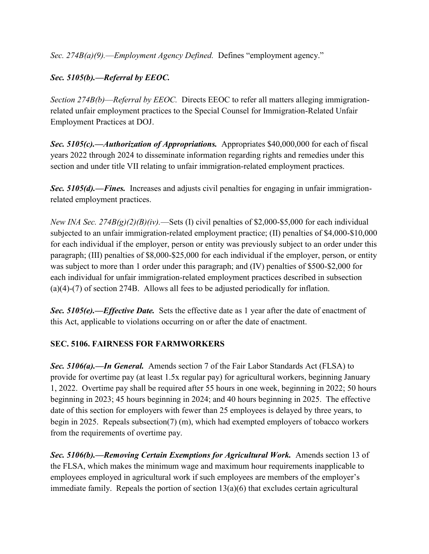*Sec. 274B(a)(9).—Employment Agency Defined.* Defines "employment agency."

# *Sec. 5105(b).––Referral by EEOC.*

*Section 274B(b)––Referral by EEOC.* Directs EEOC to refer all matters alleging immigrationrelated unfair employment practices to the Special Counsel for Immigration-Related Unfair Employment Practices at DOJ.

*Sec. 5105(c).––Authorization of Appropriations.* Appropriates \$40,000,000 for each of fiscal years 2022 through 2024 to disseminate information regarding rights and remedies under this section and under title VII relating to unfair immigration-related employment practices.

*Sec. 5105(d).––Fines.* Increases and adjusts civil penalties for engaging in unfair immigrationrelated employment practices.

*New INA Sec. 274B(g)(2)(B)(iv).––*Sets (I) civil penalties of \$2,000-\$5,000 for each individual subjected to an unfair immigration-related employment practice; (II) penalties of \$4,000-\$10,000 for each individual if the employer, person or entity was previously subject to an order under this paragraph; (III) penalties of \$8,000-\$25,000 for each individual if the employer, person, or entity was subject to more than 1 order under this paragraph; and (IV) penalties of \$500-\$2,000 for each individual for unfair immigration-related employment practices described in subsection (a)(4)-(7) of section 274B. Allows all fees to be adjusted periodically for inflation.

*Sec. 5105(e).––Effective Date.* Sets the effective date as 1 year after the date of enactment of this Act, applicable to violations occurring on or after the date of enactment.

### **SEC. 5106. FAIRNESS FOR FARMWORKERS**

*Sec. 5106(a).––In General.* Amends section 7 of the Fair Labor Standards Act (FLSA) to provide for overtime pay (at least 1.5x regular pay) for agricultural workers, beginning January 1, 2022. Overtime pay shall be required after 55 hours in one week, beginning in 2022; 50 hours beginning in 2023; 45 hours beginning in 2024; and 40 hours beginning in 2025. The effective date of this section for employers with fewer than 25 employees is delayed by three years, to begin in 2025. Repeals subsection(7) (m), which had exempted employers of tobacco workers from the requirements of overtime pay.

*Sec. 5106(b).––Removing Certain Exemptions for Agricultural Work.* Amends section 13 of the FLSA, which makes the minimum wage and maximum hour requirements inapplicable to employees employed in agricultural work if such employees are members of the employer's immediate family. Repeals the portion of section 13(a)(6) that excludes certain agricultural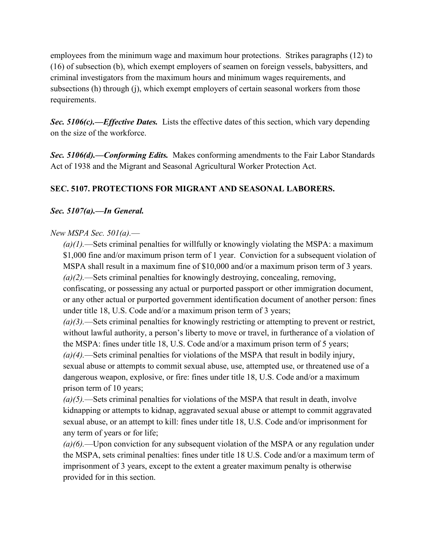employees from the minimum wage and maximum hour protections. Strikes paragraphs (12) to (16) of subsection (b), which exempt employers of seamen on foreign vessels, babysitters, and criminal investigators from the maximum hours and minimum wages requirements, and subsections (h) through (j), which exempt employers of certain seasonal workers from those requirements.

*Sec. 5106(c).––Effective Dates.* Lists the effective dates of this section, which vary depending on the size of the workforce.

*Sec. 5106(d).––Conforming Edits.* Makes conforming amendments to the Fair Labor Standards Act of 1938 and the Migrant and Seasonal Agricultural Worker Protection Act.

### **SEC. 5107. PROTECTIONS FOR MIGRANT AND SEASONAL LABORERS.**

### *Sec. 5107(a).––In General.*

#### *New MSPA Sec. 501(a).––*

*(a)(1).––*Sets criminal penalties for willfully or knowingly violating the MSPA: a maximum \$1,000 fine and/or maximum prison term of 1 year. Conviction for a subsequent violation of MSPA shall result in a maximum fine of \$10,000 and/or a maximum prison term of 3 years. *(a)(2).––*Sets criminal penalties for knowingly destroying, concealing, removing, confiscating, or possessing any actual or purported passport or other immigration document, or any other actual or purported government identification document of another person: fines under title 18, U.S. Code and/or a maximum prison term of 3 years;

*(a)(3).––*Sets criminal penalties for knowingly restricting or attempting to prevent or restrict, without lawful authority, a person's liberty to move or travel, in furtherance of a violation of the MSPA: fines under title 18, U.S. Code and/or a maximum prison term of 5 years; *(a)(4).––*Sets criminal penalties for violations of the MSPA that result in bodily injury, sexual abuse or attempts to commit sexual abuse, use, attempted use, or threatened use of a dangerous weapon, explosive, or fire: fines under title 18, U.S. Code and/or a maximum prison term of 10 years;

*(a)(5).––*Sets criminal penalties for violations of the MSPA that result in death, involve kidnapping or attempts to kidnap, aggravated sexual abuse or attempt to commit aggravated sexual abuse, or an attempt to kill: fines under title 18, U.S. Code and/or imprisonment for any term of years or for life;

*(a)(6).––*Upon conviction for any subsequent violation of the MSPA or any regulation under the MSPA, sets criminal penalties: fines under title 18 U.S. Code and/or a maximum term of imprisonment of 3 years, except to the extent a greater maximum penalty is otherwise provided for in this section.